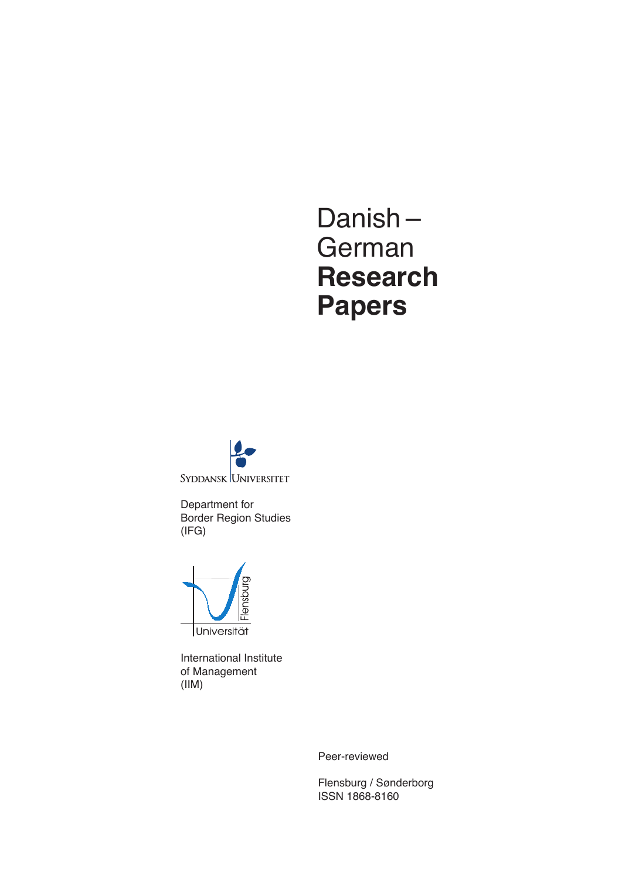# Danish – German **Research Papers**

SYDDANSK UNIVERSITET

Department for Border Region Studies (IFG)



International Institute of Management (IIM)

Peer-reviewed

Flensburg / Sønderborg ISSN 1868-8160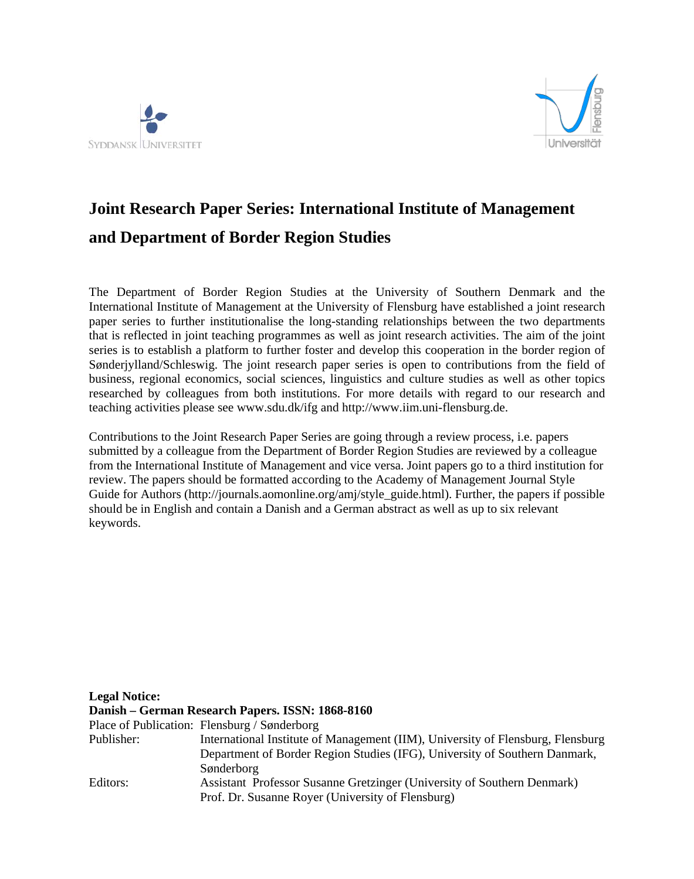



# **Joint Research Paper Series: International Institute of Management and Department of Border Region Studies**

The Department of Border Region Studies at the University of Southern Denmark and the International Institute of Management at the University of Flensburg have established a joint research paper series to further institutionalise the long-standing relationships between the two departments that is reflected in joint teaching programmes as well as joint research activities. The aim of the joint series is to establish a platform to further foster and develop this cooperation in the border region of Sønderjylland/Schleswig. The joint research paper series is open to contributions from the field of business, regional economics, social sciences, linguistics and culture studies as well as other topics researched by colleagues from both institutions. For more details with regard to our research and teaching activities please see www.sdu.dk/ifg and http://www.iim.uni-flensburg.de.

Contributions to the Joint Research Paper Series are going through a review process, i.e. papers submitted by a colleague from the Department of Border Region Studies are reviewed by a colleague from the International Institute of Management and vice versa. Joint papers go to a third institution for review. The papers should be formatted according to the Academy of Management Journal Style Guide for Authors (http://journals.aomonline.org/amj/style\_guide.html). Further, the papers if possible should be in English and contain a Danish and a German abstract as well as up to six relevant keywords.

| <b>Legal Notice:</b> |                                                                                 |
|----------------------|---------------------------------------------------------------------------------|
|                      | Danish – German Research Papers. ISSN: 1868-8160                                |
|                      | Place of Publication: Flensburg / Sønderborg                                    |
| Publisher:           | International Institute of Management (IIM), University of Flensburg, Flensburg |
|                      | Department of Border Region Studies (IFG), University of Southern Danmark,      |
|                      | Sønderborg                                                                      |
| Editors:             | Assistant Professor Susanne Gretzinger (University of Southern Denmark)         |
|                      | Prof. Dr. Susanne Royer (University of Flensburg)                               |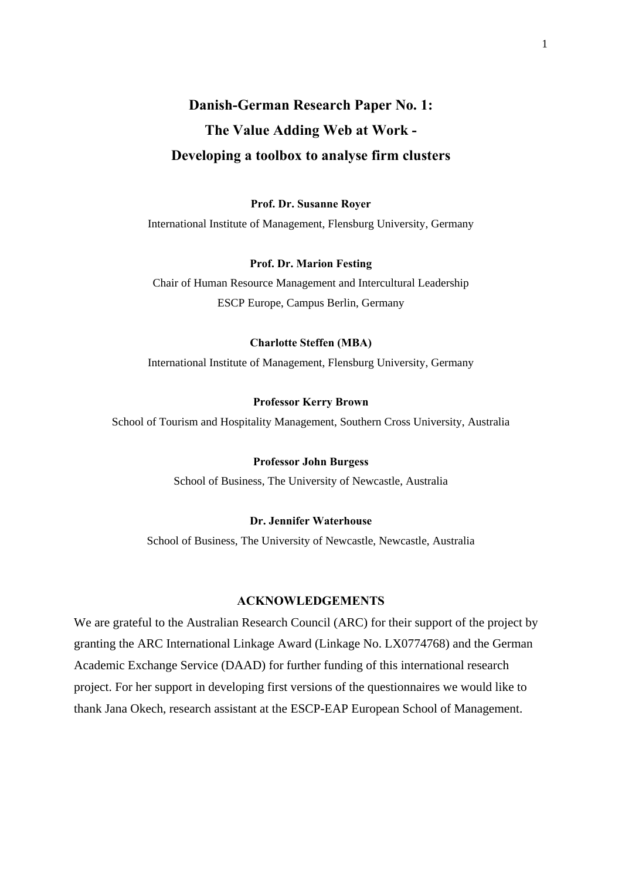# **Danish-German Research Paper No. 1: The Value Adding Web at Work - Developing a toolbox to analyse firm clusters**

**Prof. Dr. Susanne Royer** International Institute of Management, Flensburg University, Germany

#### **Prof. Dr. Marion Festing**

Chair of Human Resource Management and Intercultural Leadership ESCP Europe, Campus Berlin, Germany

### **Charlotte Steffen (MBA)**

International Institute of Management, Flensburg University, Germany

### **Professor Kerry Brown**

School of Tourism and Hospitality Management, Southern Cross University, Australia

### **Professor John Burgess**

School of Business, The University of Newcastle, Australia

### **Dr. Jennifer Waterhouse**

School of Business, The University of Newcastle, Newcastle, Australia

### **ACKNOWLEDGEMENTS**

We are grateful to the Australian Research Council (ARC) for their support of the project by granting the ARC International Linkage Award (Linkage No. LX0774768) and the German Academic Exchange Service (DAAD) for further funding of this international research project. For her support in developing first versions of the questionnaires we would like to thank Jana Okech, research assistant at the ESCP-EAP European School of Management.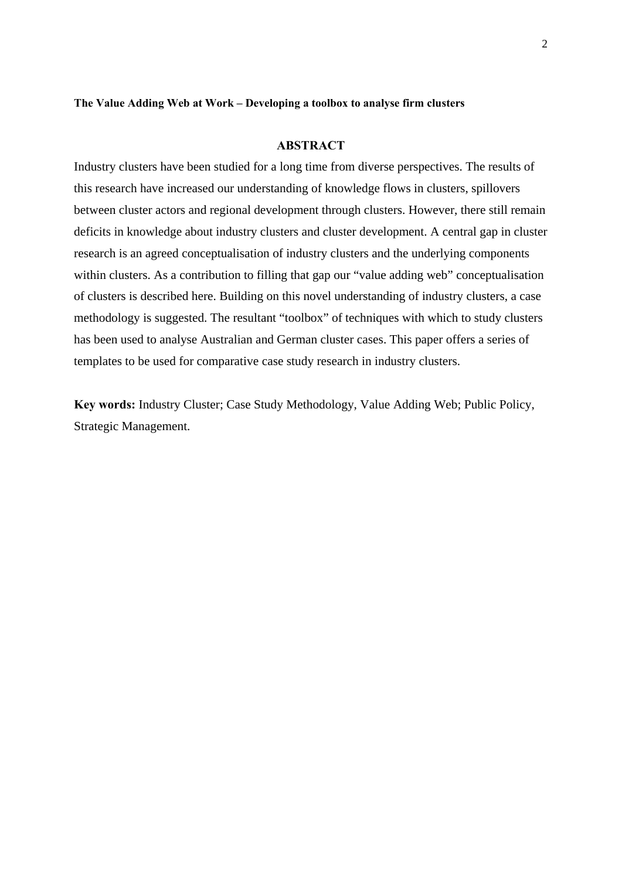### **The Value Adding Web at Work – Developing a toolbox to analyse firm clusters**

### **ABSTRACT**

Industry clusters have been studied for a long time from diverse perspectives. The results of this research have increased our understanding of knowledge flows in clusters, spillovers between cluster actors and regional development through clusters. However, there still remain deficits in knowledge about industry clusters and cluster development. A central gap in cluster research is an agreed conceptualisation of industry clusters and the underlying components within clusters. As a contribution to filling that gap our "value adding web" conceptualisation of clusters is described here. Building on this novel understanding of industry clusters, a case methodology is suggested. The resultant "toolbox" of techniques with which to study clusters has been used to analyse Australian and German cluster cases. This paper offers a series of templates to be used for comparative case study research in industry clusters.

**Key words:** Industry Cluster; Case Study Methodology, Value Adding Web; Public Policy, Strategic Management.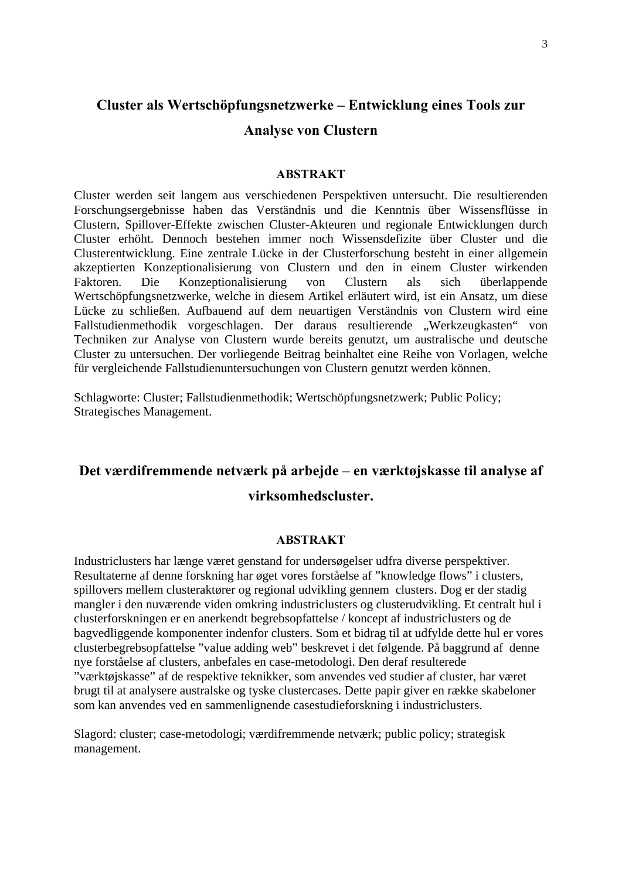# **Cluster als Wertschöpfungsnetzwerke – Entwicklung eines Tools zur Analyse von Clustern**

### **ABSTRAKT**

Cluster werden seit langem aus verschiedenen Perspektiven untersucht. Die resultierenden Forschungsergebnisse haben das Verständnis und die Kenntnis über Wissensflüsse in Clustern, Spillover-Effekte zwischen Cluster-Akteuren und regionale Entwicklungen durch Cluster erhöht. Dennoch bestehen immer noch Wissensdefizite über Cluster und die Clusterentwicklung. Eine zentrale Lücke in der Clusterforschung besteht in einer allgemein akzeptierten Konzeptionalisierung von Clustern und den in einem Cluster wirkenden Faktoren. Die Konzeptionalisierung von Clustern als sich überlappende Wertschöpfungsnetzwerke, welche in diesem Artikel erläutert wird, ist ein Ansatz, um diese Lücke zu schließen. Aufbauend auf dem neuartigen Verständnis von Clustern wird eine Fallstudienmethodik vorgeschlagen. Der daraus resultierende "Werkzeugkasten" von Techniken zur Analyse von Clustern wurde bereits genutzt, um australische und deutsche Cluster zu untersuchen. Der vorliegende Beitrag beinhaltet eine Reihe von Vorlagen, welche für vergleichende Fallstudienuntersuchungen von Clustern genutzt werden können.

Schlagworte: Cluster; Fallstudienmethodik; Wertschöpfungsnetzwerk; Public Policy; Strategisches Management.

# **Det værdifremmende netværk på arbejde – en værktøjskasse til analyse af virksomhedscluster.**

#### **ABSTRAKT**

Industriclusters har længe været genstand for undersøgelser udfra diverse perspektiver. Resultaterne af denne forskning har øget vores forståelse af "knowledge flows" i clusters, spillovers mellem clusteraktører og regional udvikling gennem clusters. Dog er der stadig mangler i den nuværende viden omkring industriclusters og clusterudvikling. Et centralt hul i clusterforskningen er en anerkendt begrebsopfattelse / koncept af industriclusters og de bagvedliggende komponenter indenfor clusters. Som et bidrag til at udfylde dette hul er vores clusterbegrebsopfattelse "value adding web" beskrevet i det følgende. På baggrund af denne nye forståelse af clusters, anbefales en case-metodologi. Den deraf resulterede "værktøjskasse" af de respektive teknikker, som anvendes ved studier af cluster, har været brugt til at analysere australske og tyske clustercases. Dette papir giver en række skabeloner som kan anvendes ved en sammenlignende casestudieforskning i industriclusters.

Slagord: cluster; case-metodologi; værdifremmende netværk; public policy; strategisk management.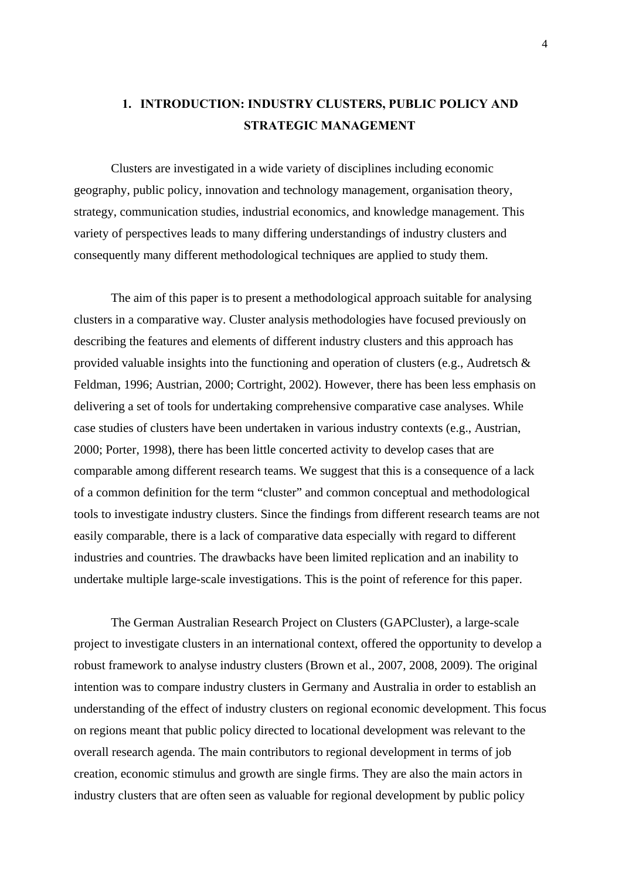## **1. INTRODUCTION: INDUSTRY CLUSTERS, PUBLIC POLICY AND STRATEGIC MANAGEMENT**

Clusters are investigated in a wide variety of disciplines including economic geography, public policy, innovation and technology management, organisation theory, strategy, communication studies, industrial economics, and knowledge management. This variety of perspectives leads to many differing understandings of industry clusters and consequently many different methodological techniques are applied to study them.

The aim of this paper is to present a methodological approach suitable for analysing clusters in a comparative way. Cluster analysis methodologies have focused previously on describing the features and elements of different industry clusters and this approach has provided valuable insights into the functioning and operation of clusters (e.g., Audretsch & Feldman, 1996; Austrian, 2000; Cortright, 2002). However, there has been less emphasis on delivering a set of tools for undertaking comprehensive comparative case analyses. While case studies of clusters have been undertaken in various industry contexts (e.g., Austrian, 2000; Porter, 1998), there has been little concerted activity to develop cases that are comparable among different research teams. We suggest that this is a consequence of a lack of a common definition for the term "cluster" and common conceptual and methodological tools to investigate industry clusters. Since the findings from different research teams are not easily comparable, there is a lack of comparative data especially with regard to different industries and countries. The drawbacks have been limited replication and an inability to undertake multiple large-scale investigations. This is the point of reference for this paper.

The German Australian Research Project on Clusters (GAPCluster), a large-scale project to investigate clusters in an international context, offered the opportunity to develop a robust framework to analyse industry clusters (Brown et al., 2007, 2008, 2009). The original intention was to compare industry clusters in Germany and Australia in order to establish an understanding of the effect of industry clusters on regional economic development. This focus on regions meant that public policy directed to locational development was relevant to the overall research agenda. The main contributors to regional development in terms of job creation, economic stimulus and growth are single firms. They are also the main actors in industry clusters that are often seen as valuable for regional development by public policy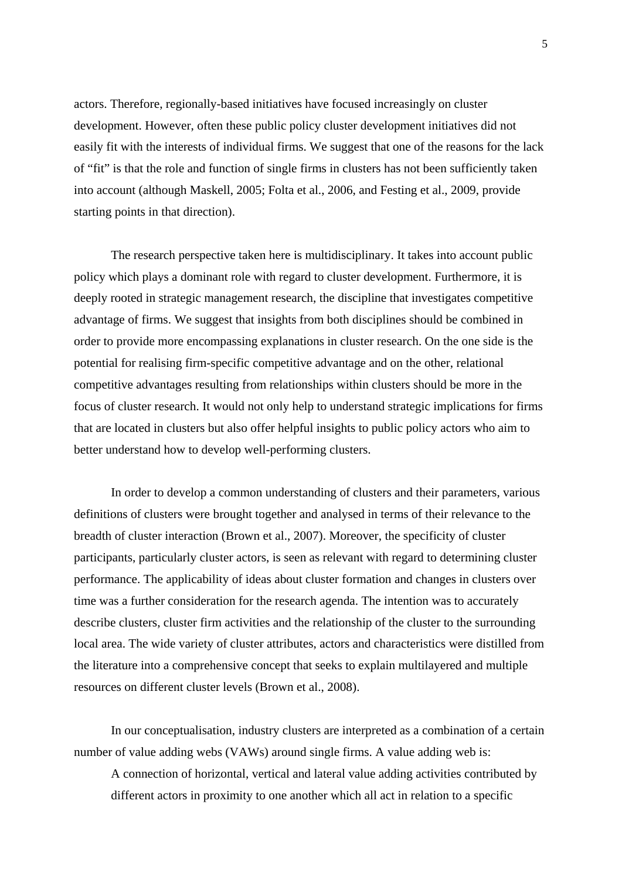actors. Therefore, regionally-based initiatives have focused increasingly on cluster development. However, often these public policy cluster development initiatives did not easily fit with the interests of individual firms. We suggest that one of the reasons for the lack of "fit" is that the role and function of single firms in clusters has not been sufficiently taken into account (although Maskell, 2005; Folta et al., 2006, and Festing et al., 2009, provide starting points in that direction).

The research perspective taken here is multidisciplinary. It takes into account public policy which plays a dominant role with regard to cluster development. Furthermore, it is deeply rooted in strategic management research, the discipline that investigates competitive advantage of firms. We suggest that insights from both disciplines should be combined in order to provide more encompassing explanations in cluster research. On the one side is the potential for realising firm-specific competitive advantage and on the other, relational competitive advantages resulting from relationships within clusters should be more in the focus of cluster research. It would not only help to understand strategic implications for firms that are located in clusters but also offer helpful insights to public policy actors who aim to better understand how to develop well-performing clusters.

In order to develop a common understanding of clusters and their parameters, various definitions of clusters were brought together and analysed in terms of their relevance to the breadth of cluster interaction (Brown et al., 2007). Moreover, the specificity of cluster participants, particularly cluster actors, is seen as relevant with regard to determining cluster performance. The applicability of ideas about cluster formation and changes in clusters over time was a further consideration for the research agenda. The intention was to accurately describe clusters, cluster firm activities and the relationship of the cluster to the surrounding local area. The wide variety of cluster attributes, actors and characteristics were distilled from the literature into a comprehensive concept that seeks to explain multilayered and multiple resources on different cluster levels (Brown et al., 2008).

In our conceptualisation, industry clusters are interpreted as a combination of a certain number of value adding webs (VAWs) around single firms. A value adding web is:

A connection of horizontal, vertical and lateral value adding activities contributed by different actors in proximity to one another which all act in relation to a specific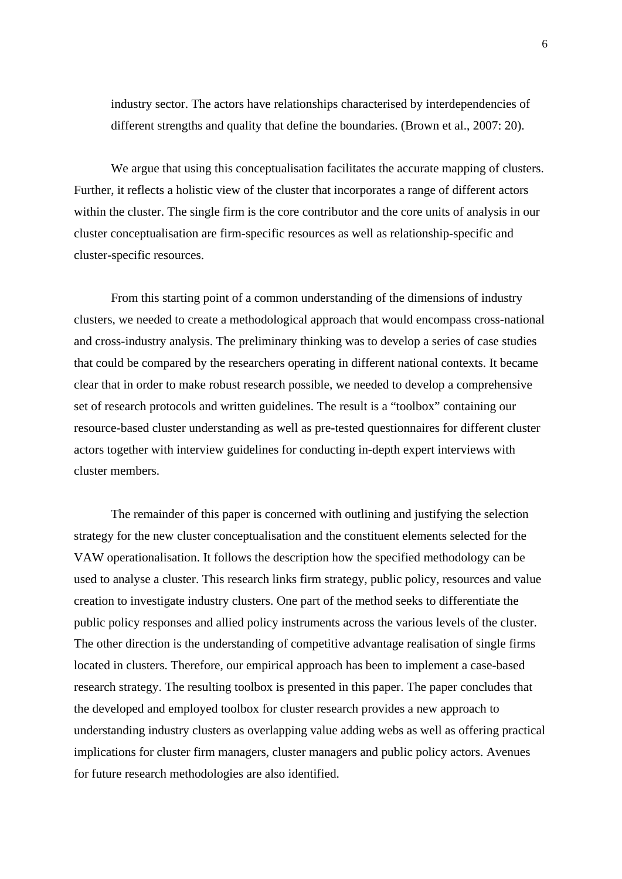industry sector. The actors have relationships characterised by interdependencies of different strengths and quality that define the boundaries. (Brown et al., 2007: 20).

We argue that using this conceptualisation facilitates the accurate mapping of clusters. Further, it reflects a holistic view of the cluster that incorporates a range of different actors within the cluster. The single firm is the core contributor and the core units of analysis in our cluster conceptualisation are firm-specific resources as well as relationship-specific and cluster-specific resources.

From this starting point of a common understanding of the dimensions of industry clusters, we needed to create a methodological approach that would encompass cross-national and cross-industry analysis. The preliminary thinking was to develop a series of case studies that could be compared by the researchers operating in different national contexts. It became clear that in order to make robust research possible, we needed to develop a comprehensive set of research protocols and written guidelines. The result is a "toolbox" containing our resource-based cluster understanding as well as pre-tested questionnaires for different cluster actors together with interview guidelines for conducting in-depth expert interviews with cluster members.

The remainder of this paper is concerned with outlining and justifying the selection strategy for the new cluster conceptualisation and the constituent elements selected for the VAW operationalisation. It follows the description how the specified methodology can be used to analyse a cluster. This research links firm strategy, public policy, resources and value creation to investigate industry clusters. One part of the method seeks to differentiate the public policy responses and allied policy instruments across the various levels of the cluster. The other direction is the understanding of competitive advantage realisation of single firms located in clusters. Therefore, our empirical approach has been to implement a case-based research strategy. The resulting toolbox is presented in this paper. The paper concludes that the developed and employed toolbox for cluster research provides a new approach to understanding industry clusters as overlapping value adding webs as well as offering practical implications for cluster firm managers, cluster managers and public policy actors. Avenues for future research methodologies are also identified.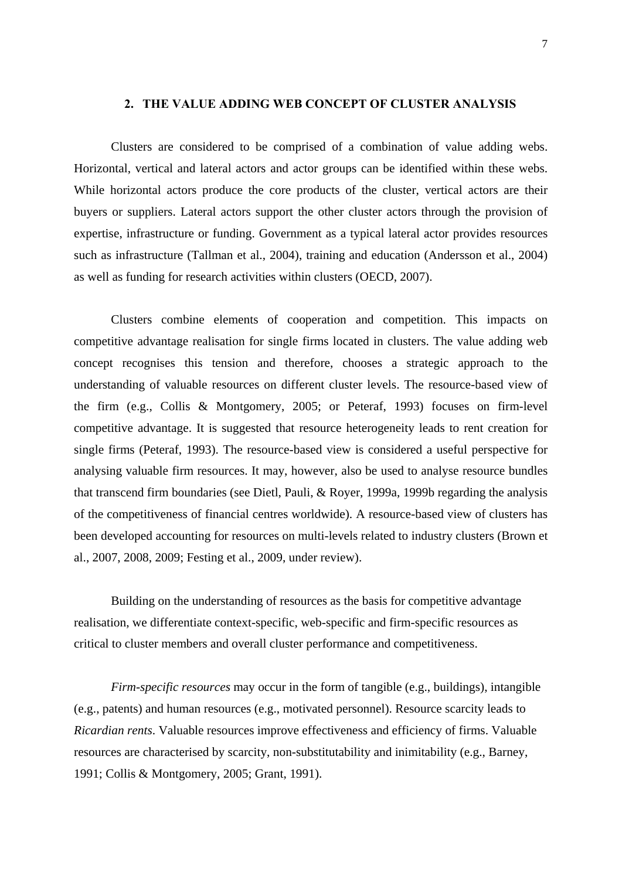#### **2. THE VALUE ADDING WEB CONCEPT OF CLUSTER ANALYSIS**

Clusters are considered to be comprised of a combination of value adding webs. Horizontal, vertical and lateral actors and actor groups can be identified within these webs. While horizontal actors produce the core products of the cluster, vertical actors are their buyers or suppliers. Lateral actors support the other cluster actors through the provision of expertise, infrastructure or funding. Government as a typical lateral actor provides resources such as infrastructure (Tallman et al., 2004), training and education (Andersson et al., 2004) as well as funding for research activities within clusters (OECD, 2007).

Clusters combine elements of cooperation and competition. This impacts on competitive advantage realisation for single firms located in clusters. The value adding web concept recognises this tension and therefore, chooses a strategic approach to the understanding of valuable resources on different cluster levels. The resource-based view of the firm (e.g., Collis & Montgomery, 2005; or Peteraf, 1993) focuses on firm-level competitive advantage. It is suggested that resource heterogeneity leads to rent creation for single firms (Peteraf, 1993). The resource-based view is considered a useful perspective for analysing valuable firm resources. It may, however, also be used to analyse resource bundles that transcend firm boundaries (see Dietl, Pauli, & Royer, 1999a, 1999b regarding the analysis of the competitiveness of financial centres worldwide). A resource-based view of clusters has been developed accounting for resources on multi-levels related to industry clusters (Brown et al., 2007, 2008, 2009; Festing et al., 2009, under review).

Building on the understanding of resources as the basis for competitive advantage realisation, we differentiate context-specific, web-specific and firm-specific resources as critical to cluster members and overall cluster performance and competitiveness.

*Firm-specific resources* may occur in the form of tangible (e.g., buildings), intangible (e.g., patents) and human resources (e.g., motivated personnel). Resource scarcity leads to *Ricardian rents*. Valuable resources improve effectiveness and efficiency of firms. Valuable resources are characterised by scarcity, non-substitutability and inimitability (e.g., Barney, 1991; Collis & Montgomery, 2005; Grant, 1991).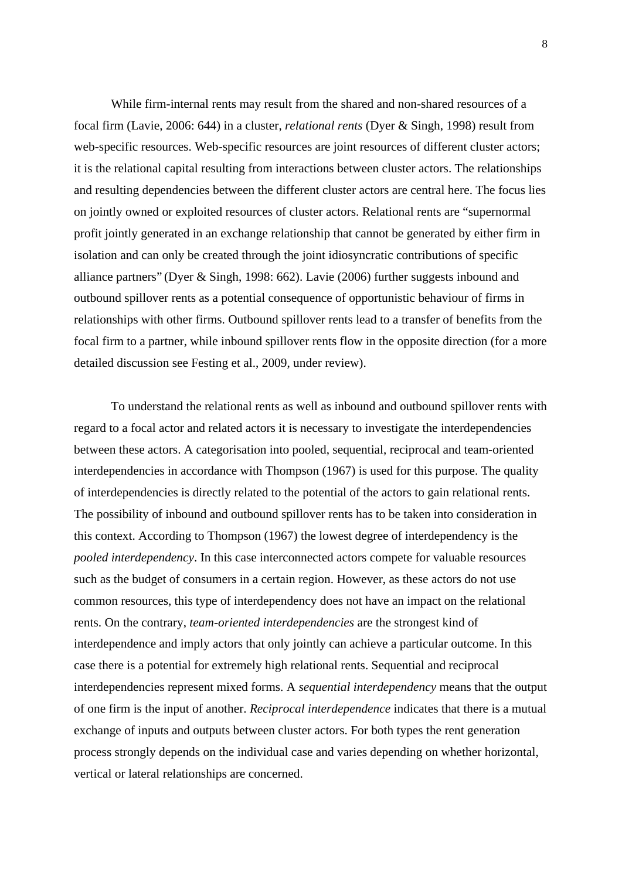While firm-internal rents may result from the shared and non-shared resources of a focal firm (Lavie, 2006: 644) in a cluster, *relational rents* (Dyer & Singh, 1998) result from web-specific resources. Web-specific resources are joint resources of different cluster actors; it is the relational capital resulting from interactions between cluster actors. The relationships and resulting dependencies between the different cluster actors are central here. The focus lies on jointly owned or exploited resources of cluster actors. Relational rents are "supernormal profit jointly generated in an exchange relationship that cannot be generated by either firm in isolation and can only be created through the joint idiosyncratic contributions of specific alliance partners" (Dyer & Singh, 1998: 662). Lavie (2006) further suggests inbound and outbound spillover rents as a potential consequence of opportunistic behaviour of firms in relationships with other firms. Outbound spillover rents lead to a transfer of benefits from the focal firm to a partner, while inbound spillover rents flow in the opposite direction (for a more detailed discussion see Festing et al., 2009, under review).

To understand the relational rents as well as inbound and outbound spillover rents with regard to a focal actor and related actors it is necessary to investigate the interdependencies between these actors. A categorisation into pooled, sequential, reciprocal and team-oriented interdependencies in accordance with Thompson (1967) is used for this purpose. The quality of interdependencies is directly related to the potential of the actors to gain relational rents. The possibility of inbound and outbound spillover rents has to be taken into consideration in this context. According to Thompson (1967) the lowest degree of interdependency is the *pooled interdependency*. In this case interconnected actors compete for valuable resources such as the budget of consumers in a certain region. However, as these actors do not use common resources, this type of interdependency does not have an impact on the relational rents. On the contrary, *team-oriented interdependencies* are the strongest kind of interdependence and imply actors that only jointly can achieve a particular outcome. In this case there is a potential for extremely high relational rents. Sequential and reciprocal interdependencies represent mixed forms. A *sequential interdependency* means that the output of one firm is the input of another. *Reciprocal interdependence* indicates that there is a mutual exchange of inputs and outputs between cluster actors. For both types the rent generation process strongly depends on the individual case and varies depending on whether horizontal, vertical or lateral relationships are concerned.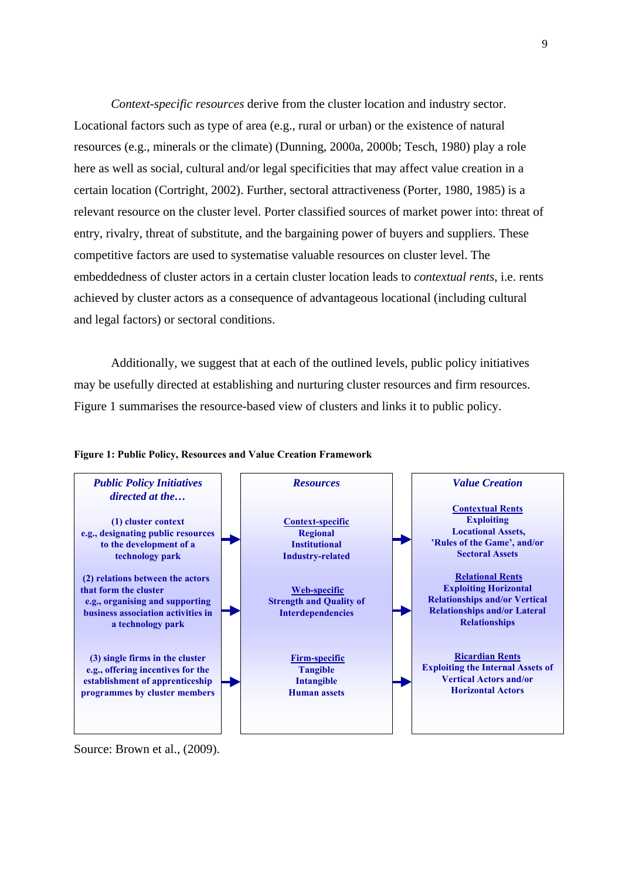*Context-specific resources* derive from the cluster location and industry sector. Locational factors such as type of area (e.g., rural or urban) or the existence of natural resources (e.g., minerals or the climate) (Dunning, 2000a, 2000b; Tesch, 1980) play a role here as well as social, cultural and/or legal specificities that may affect value creation in a certain location (Cortright, 2002). Further, sectoral attractiveness (Porter, 1980, 1985) is a relevant resource on the cluster level. Porter classified sources of market power into: threat of entry, rivalry, threat of substitute, and the bargaining power of buyers and suppliers. These competitive factors are used to systematise valuable resources on cluster level. The embeddedness of cluster actors in a certain cluster location leads to *contextual rents*, i.e. rents achieved by cluster actors as a consequence of advantageous locational (including cultural and legal factors) or sectoral conditions.

Additionally, we suggest that at each of the outlined levels, public policy initiatives may be usefully directed at establishing and nurturing cluster resources and firm resources. Figure 1 summarises the resource-based view of clusters and links it to public policy.



#### **Figure 1: Public Policy, Resources and Value Creation Framework**

Source: Brown et al.,  $(2009)$ .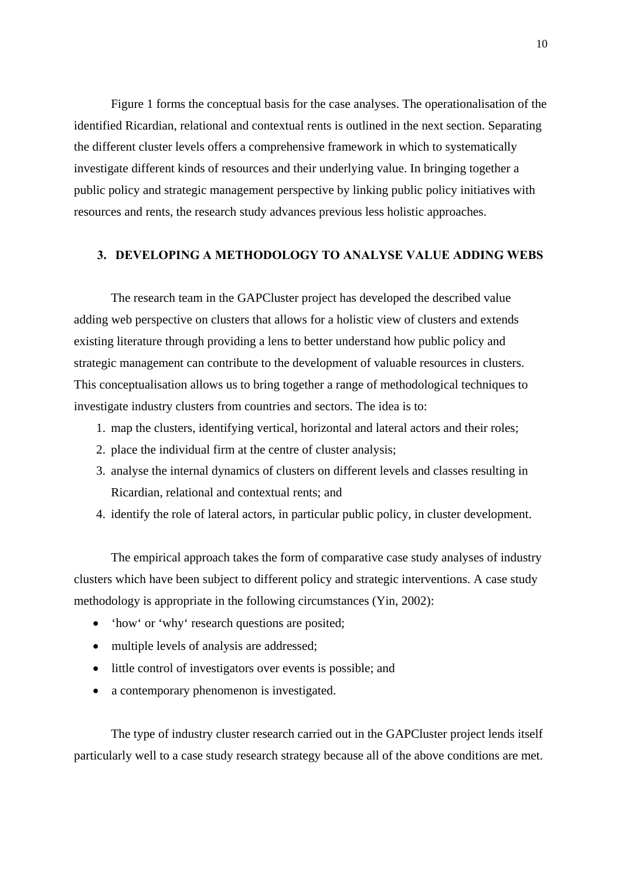Figure 1 forms the conceptual basis for the case analyses. The operationalisation of the identified Ricardian, relational and contextual rents is outlined in the next section. Separating the different cluster levels offers a comprehensive framework in which to systematically investigate different kinds of resources and their underlying value. In bringing together a public policy and strategic management perspective by linking public policy initiatives with resources and rents, the research study advances previous less holistic approaches.

### **3. DEVELOPING A METHODOLOGY TO ANALYSE VALUE ADDING WEBS**

The research team in the GAPCluster project has developed the described value adding web perspective on clusters that allows for a holistic view of clusters and extends existing literature through providing a lens to better understand how public policy and strategic management can contribute to the development of valuable resources in clusters. This conceptualisation allows us to bring together a range of methodological techniques to investigate industry clusters from countries and sectors. The idea is to:

- 1. map the clusters, identifying vertical, horizontal and lateral actors and their roles;
- 2. place the individual firm at the centre of cluster analysis;
- 3. analyse the internal dynamics of clusters on different levels and classes resulting in Ricardian, relational and contextual rents; and
- 4. identify the role of lateral actors, in particular public policy, in cluster development.

The empirical approach takes the form of comparative case study analyses of industry clusters which have been subject to different policy and strategic interventions. A case study methodology is appropriate in the following circumstances (Yin, 2002):

- 'how' or 'why' research questions are posited;
- multiple levels of analysis are addressed;
- little control of investigators over events is possible; and
- a contemporary phenomenon is investigated.

The type of industry cluster research carried out in the GAPCluster project lends itself particularly well to a case study research strategy because all of the above conditions are met.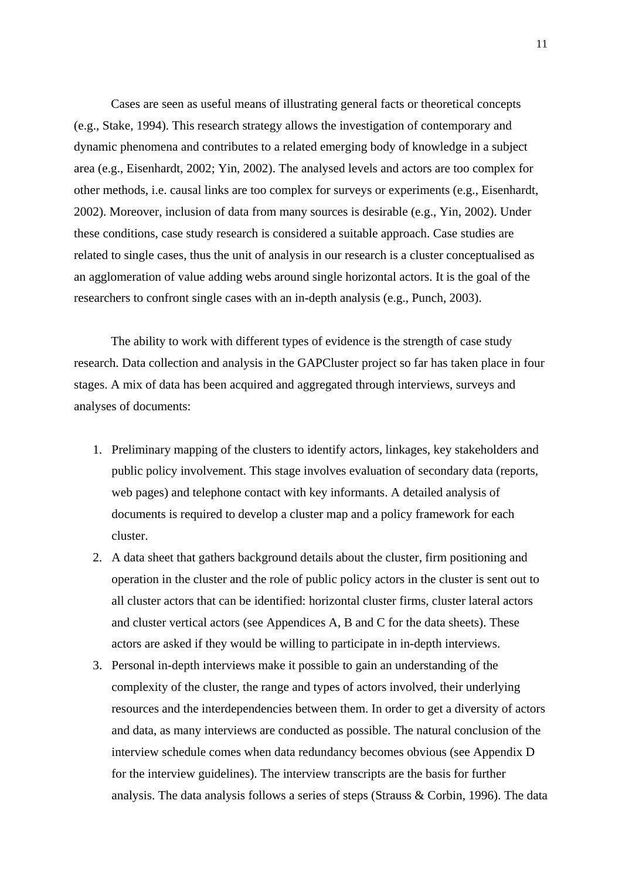Cases are seen as useful means of illustrating general facts or theoretical concepts (e.g., Stake, 1994). This research strategy allows the investigation of contemporary and dynamic phenomena and contributes to a related emerging body of knowledge in a subject area (e.g., Eisenhardt, 2002; Yin, 2002). The analysed levels and actors are too complex for other methods, i.e. causal links are too complex for surveys or experiments (e.g., Eisenhardt, 2002). Moreover, inclusion of data from many sources is desirable (e.g., Yin, 2002). Under these conditions, case study research is considered a suitable approach. Case studies are related to single cases, thus the unit of analysis in our research is a cluster conceptualised as an agglomeration of value adding webs around single horizontal actors. It is the goal of the researchers to confront single cases with an in-depth analysis (e.g., Punch, 2003).

The ability to work with different types of evidence is the strength of case study research. Data collection and analysis in the GAPCluster project so far has taken place in four stages. A mix of data has been acquired and aggregated through interviews, surveys and analyses of documents:

- 1. Preliminary mapping of the clusters to identify actors, linkages, key stakeholders and public policy involvement. This stage involves evaluation of secondary data (reports, web pages) and telephone contact with key informants. A detailed analysis of documents is required to develop a cluster map and a policy framework for each cluster.
- 2. A data sheet that gathers background details about the cluster, firm positioning and operation in the cluster and the role of public policy actors in the cluster is sent out to all cluster actors that can be identified: horizontal cluster firms, cluster lateral actors and cluster vertical actors (see Appendices A, B and C for the data sheets). These actors are asked if they would be willing to participate in in-depth interviews.
- 3. Personal in-depth interviews make it possible to gain an understanding of the complexity of the cluster, the range and types of actors involved, their underlying resources and the interdependencies between them. In order to get a diversity of actors and data, as many interviews are conducted as possible. The natural conclusion of the interview schedule comes when data redundancy becomes obvious (see Appendix D for the interview guidelines). The interview transcripts are the basis for further analysis. The data analysis follows a series of steps (Strauss & Corbin, 1996). The data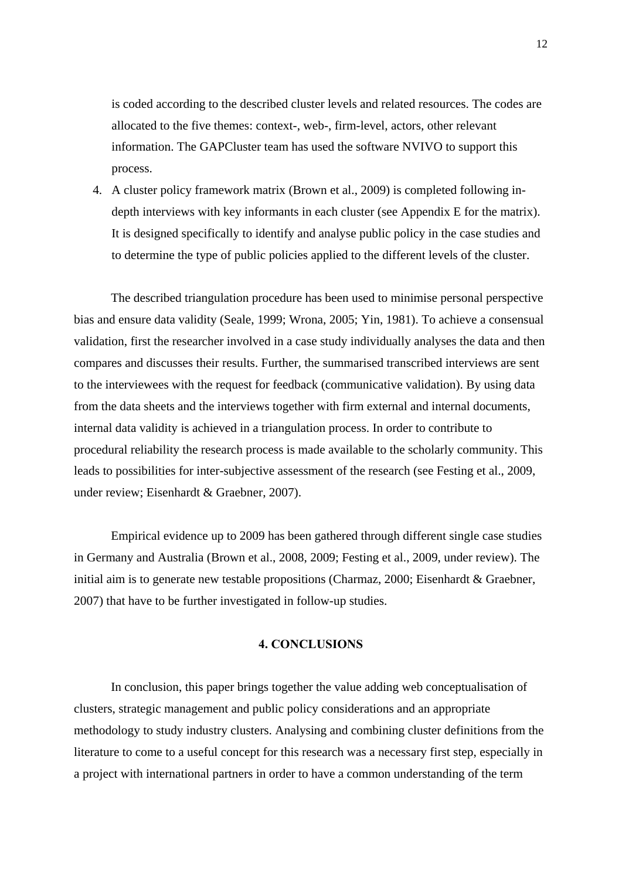is coded according to the described cluster levels and related resources. The codes are allocated to the five themes: context-, web-, firm-level, actors, other relevant information. The GAPCluster team has used the software NVIVO to support this process.

4. A cluster policy framework matrix (Brown et al., 2009) is completed following indepth interviews with key informants in each cluster (see Appendix E for the matrix). It is designed specifically to identify and analyse public policy in the case studies and to determine the type of public policies applied to the different levels of the cluster.

The described triangulation procedure has been used to minimise personal perspective bias and ensure data validity (Seale, 1999; Wrona, 2005; Yin, 1981). To achieve a consensual validation, first the researcher involved in a case study individually analyses the data and then compares and discusses their results. Further, the summarised transcribed interviews are sent to the interviewees with the request for feedback (communicative validation). By using data from the data sheets and the interviews together with firm external and internal documents, internal data validity is achieved in a triangulation process. In order to contribute to procedural reliability the research process is made available to the scholarly community. This leads to possibilities for inter-subjective assessment of the research (see Festing et al., 2009, under review; Eisenhardt & Graebner, 2007).

Empirical evidence up to 2009 has been gathered through different single case studies in Germany and Australia (Brown et al., 2008, 2009; Festing et al., 2009, under review). The initial aim is to generate new testable propositions (Charmaz, 2000; Eisenhardt & Graebner, 2007) that have to be further investigated in follow-up studies.

### **4. CONCLUSIONS**

In conclusion, this paper brings together the value adding web conceptualisation of clusters, strategic management and public policy considerations and an appropriate methodology to study industry clusters. Analysing and combining cluster definitions from the literature to come to a useful concept for this research was a necessary first step, especially in a project with international partners in order to have a common understanding of the term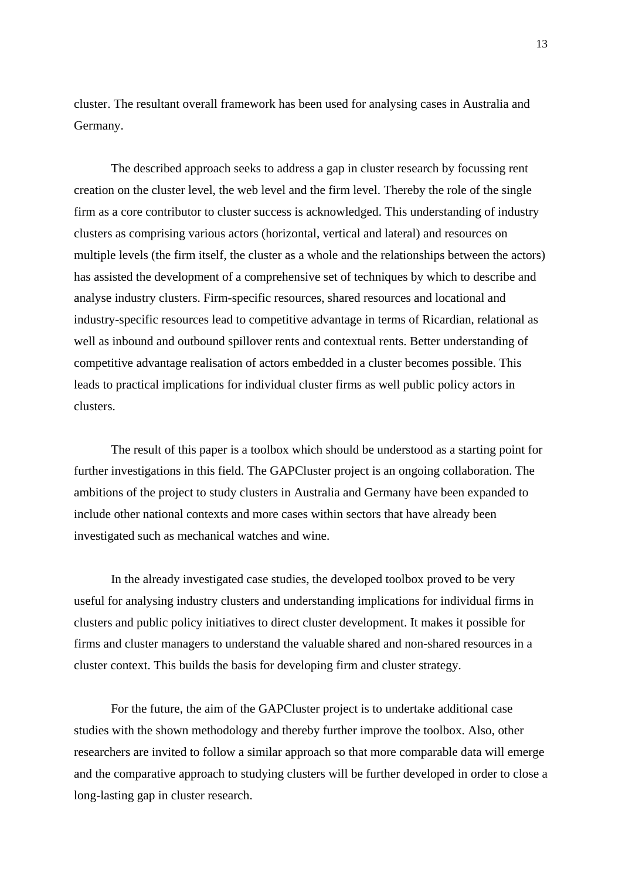cluster. The resultant overall framework has been used for analysing cases in Australia and Germany.

The described approach seeks to address a gap in cluster research by focussing rent creation on the cluster level, the web level and the firm level. Thereby the role of the single firm as a core contributor to cluster success is acknowledged. This understanding of industry clusters as comprising various actors (horizontal, vertical and lateral) and resources on multiple levels (the firm itself, the cluster as a whole and the relationships between the actors) has assisted the development of a comprehensive set of techniques by which to describe and analyse industry clusters. Firm-specific resources, shared resources and locational and industry-specific resources lead to competitive advantage in terms of Ricardian, relational as well as inbound and outbound spillover rents and contextual rents. Better understanding of competitive advantage realisation of actors embedded in a cluster becomes possible. This leads to practical implications for individual cluster firms as well public policy actors in clusters.

The result of this paper is a toolbox which should be understood as a starting point for further investigations in this field. The GAPCluster project is an ongoing collaboration. The ambitions of the project to study clusters in Australia and Germany have been expanded to include other national contexts and more cases within sectors that have already been investigated such as mechanical watches and wine.

In the already investigated case studies, the developed toolbox proved to be very useful for analysing industry clusters and understanding implications for individual firms in clusters and public policy initiatives to direct cluster development. It makes it possible for firms and cluster managers to understand the valuable shared and non-shared resources in a cluster context. This builds the basis for developing firm and cluster strategy.

For the future, the aim of the GAPCluster project is to undertake additional case studies with the shown methodology and thereby further improve the toolbox. Also, other researchers are invited to follow a similar approach so that more comparable data will emerge and the comparative approach to studying clusters will be further developed in order to close a long-lasting gap in cluster research.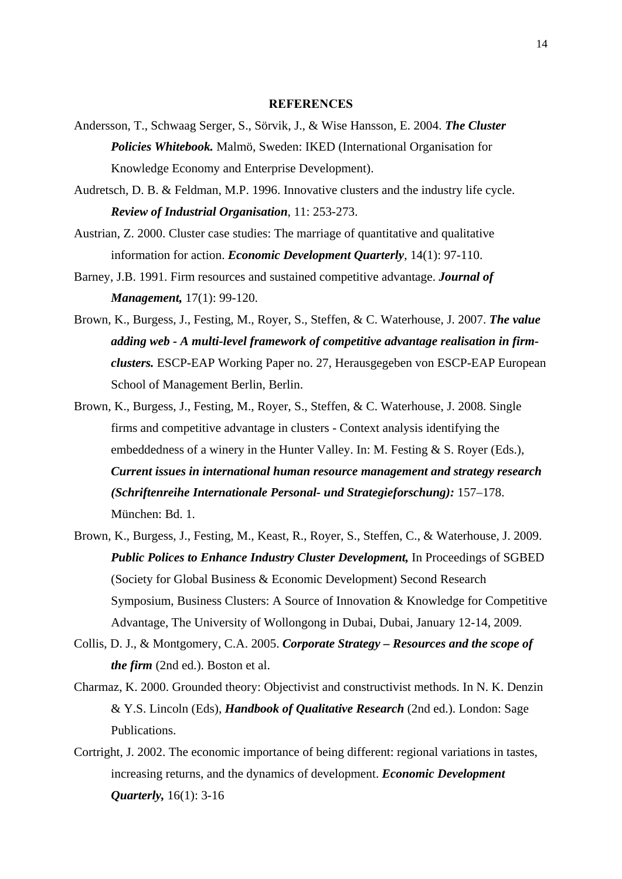#### **REFERENCES**

- Andersson, T., Schwaag Serger, S., Sörvik, J., & Wise Hansson, E. 2004. *The Cluster Policies Whitebook.* Malmö, Sweden: IKED (International Organisation for Knowledge Economy and Enterprise Development).
- Audretsch, D. B. & Feldman, M.P. 1996. Innovative clusters and the industry life cycle. *Review of Industrial Organisation*, 11: 253-273.
- Austrian, Z. 2000. Cluster case studies: The marriage of quantitative and qualitative information for action. *Economic Development Quarterly*, 14(1): 97-110.
- Barney, J.B. 1991. Firm resources and sustained competitive advantage. *Journal of Management,* 17(1): 99-120.
- Brown, K., Burgess, J., Festing, M., Royer, S., Steffen, & C. Waterhouse, J. 2007. *The value adding web - A multi-level framework of competitive advantage realisation in firmclusters.* ESCP-EAP Working Paper no. 27, Herausgegeben von ESCP-EAP European School of Management Berlin, Berlin.
- Brown, K., Burgess, J., Festing, M., Royer, S., Steffen, & C. Waterhouse, J. 2008. Single firms and competitive advantage in clusters - Context analysis identifying the embeddedness of a winery in the Hunter Valley. In: M. Festing & S. Royer (Eds.), *Current issues in international human resource management and strategy research (Schriftenreihe Internationale Personal- und Strategieforschung):* 157–178. München: Bd. 1.
- Brown, K., Burgess, J., Festing, M., Keast, R., Royer, S., Steffen, C., & Waterhouse, J. 2009. *Public Polices to Enhance Industry Cluster Development,* In Proceedings of SGBED (Society for Global Business & Economic Development) Second Research Symposium, Business Clusters: A Source of Innovation & Knowledge for Competitive Advantage, The University of Wollongong in Dubai, Dubai, January 12-14, 2009.
- Collis, D. J., & Montgomery, C.A. 2005. *Corporate Strategy Resources and the scope of the firm* (2nd ed.). Boston et al.
- Charmaz, K. 2000. Grounded theory: Objectivist and constructivist methods. In N. K. Denzin & Y.S. Lincoln (Eds), *Handbook of Qualitative Research* (2nd ed.). London: Sage Publications.
- Cortright, J. 2002. The economic importance of being different: regional variations in tastes, increasing returns, and the dynamics of development. *Economic Development Quarterly,* 16(1): 3-16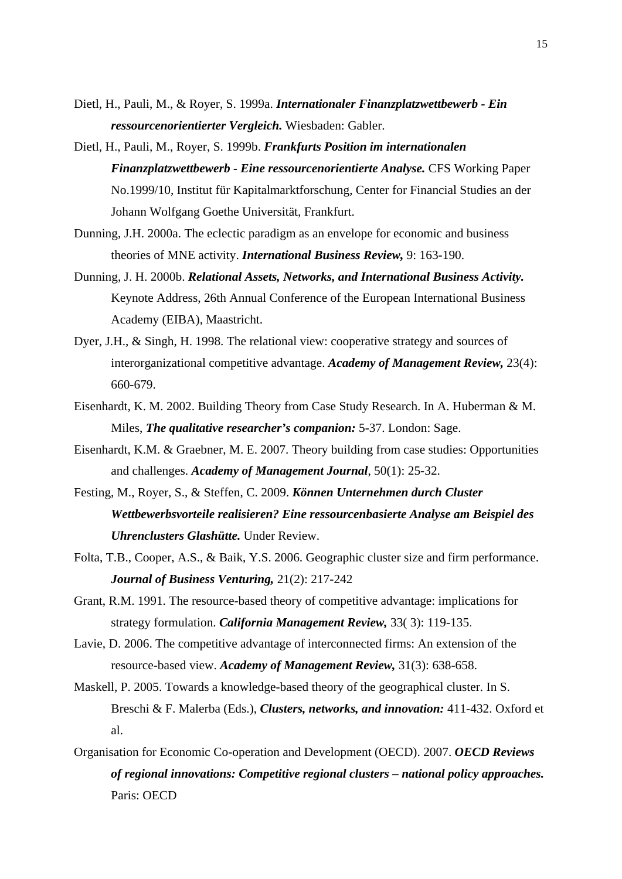- Dietl, H., Pauli, M., & Royer, S. 1999a. *Internationaler Finanzplatzwettbewerb Ein ressourcenorientierter Vergleich.* Wiesbaden: Gabler.
- Dietl, H., Pauli, M., Royer, S. 1999b. *Frankfurts Position im internationalen Finanzplatzwettbewerb - Eine ressourcenorientierte Analyse.* CFS Working Paper No.1999/10, Institut für Kapitalmarktforschung, Center for Financial Studies an der Johann Wolfgang Goethe Universität, Frankfurt.
- Dunning, J.H. 2000a. The eclectic paradigm as an envelope for economic and business theories of MNE activity. *International Business Review,* 9: 163-190.
- Dunning, J. H. 2000b. *Relational Assets, Networks, and International Business Activity.* Keynote Address, 26th Annual Conference of the European International Business Academy (EIBA), Maastricht.
- Dyer, J.H., & Singh, H. 1998. The relational view: cooperative strategy and sources of interorganizational competitive advantage. *Academy of Management Review,* 23(4): 660-679.
- Eisenhardt, K. M. 2002. Building Theory from Case Study Research. In A. Huberman & M. Miles, *The qualitative researcher's companion:* 5-37. London: Sage.
- Eisenhardt, K.M. & Graebner, M. E. 2007. Theory building from case studies: Opportunities and challenges. *Academy of Management Journal*, 50(1): 25-32.
- Festing, M., Royer, S., & Steffen, C. 2009. *Können Unternehmen durch Cluster Wettbewerbsvorteile realisieren? Eine ressourcenbasierte Analyse am Beispiel des Uhrenclusters Glashütte.* Under Review.
- Folta, T.B., Cooper, A.S., & Baik, Y.S. 2006. Geographic cluster size and firm performance. *Journal of Business Venturing,* 21(2): 217-242
- Grant, R.M. 1991. The resource-based theory of competitive advantage: implications for strategy formulation. *California Management Review,* 33( 3): 119-135.
- Lavie, D. 2006. The competitive advantage of interconnected firms: An extension of the resource-based view. *Academy of Management Review,* 31(3): 638-658.
- Maskell, P. 2005. Towards a knowledge-based theory of the geographical cluster. In S. Breschi & F. Malerba (Eds.), *Clusters, networks, and innovation:* 411-432. Oxford et al.
- Organisation for Economic Co-operation and Development (OECD). 2007. *OECD Reviews of regional innovations: Competitive regional clusters – national policy approaches.* Paris: OECD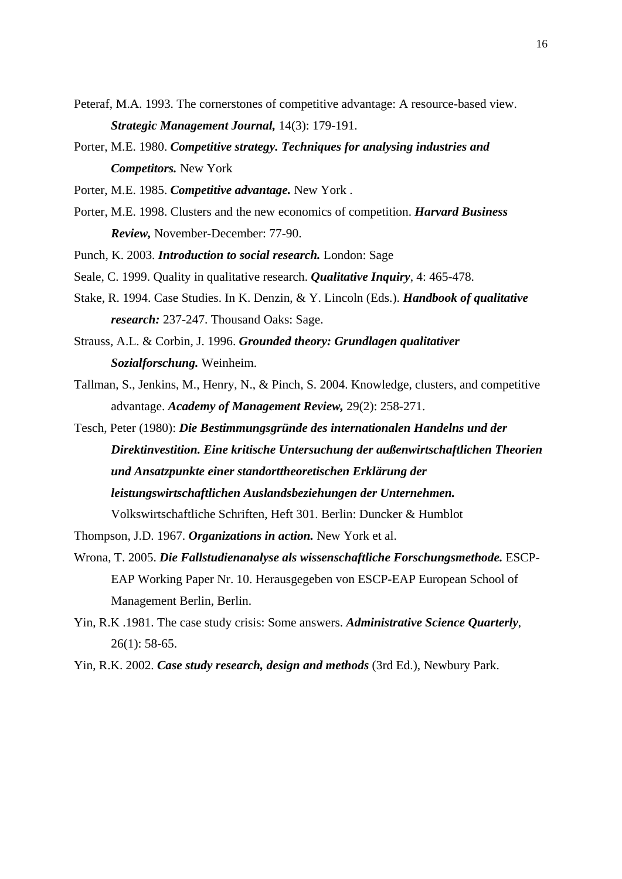- Peteraf, M.A. 1993. The cornerstones of competitive advantage: A resource-based view. *Strategic Management Journal,* 14(3): 179-191.
- Porter, M.E. 1980. *Competitive strategy. Techniques for analysing industries and Competitors.* New York
- Porter, M.E. 1985. *Competitive advantage.* New York .
- Porter, M.E. 1998. Clusters and the new economics of competition. *Harvard Business Review,* November-December: 77-90.
- Punch, K. 2003. *Introduction to social research.* London: Sage
- Seale, C. 1999. Quality in qualitative research. *Qualitative Inquiry*, 4: 465-478.
- Stake, R. 1994. Case Studies. In K. Denzin, & Y. Lincoln (Eds.). *Handbook of qualitative research:* 237-247. Thousand Oaks: Sage.
- Strauss, A.L. & Corbin, J. 1996. *Grounded theory: Grundlagen qualitativer Sozialforschung.* Weinheim.
- Tallman, S., Jenkins, M., Henry, N., & Pinch, S. 2004. Knowledge, clusters, and competitive advantage. *Academy of Management Review,* 29(2): 258-271.
- Tesch, Peter (1980): *Die Bestimmungsgründe des internationalen Handelns und der Direktinvestition. Eine kritische Untersuchung der außenwirtschaftlichen Theorien und Ansatzpunkte einer standorttheoretischen Erklärung der leistungswirtschaftlichen Auslandsbeziehungen der Unternehmen.*  Volkswirtschaftliche Schriften, Heft 301. Berlin: Duncker & Humblot
- Thompson, J.D. 1967. *Organizations in action.* New York et al.
- Wrona, T. 2005. *Die Fallstudienanalyse als wissenschaftliche Forschungsmethode.* ESCP-EAP Working Paper Nr. 10. Herausgegeben von ESCP-EAP European School of Management Berlin, Berlin.
- Yin, R.K .1981. The case study crisis: Some answers. *Administrative Science Quarterly*, 26(1): 58-65.
- Yin, R.K. 2002. *Case study research, design and methods* (3rd Ed.), Newbury Park.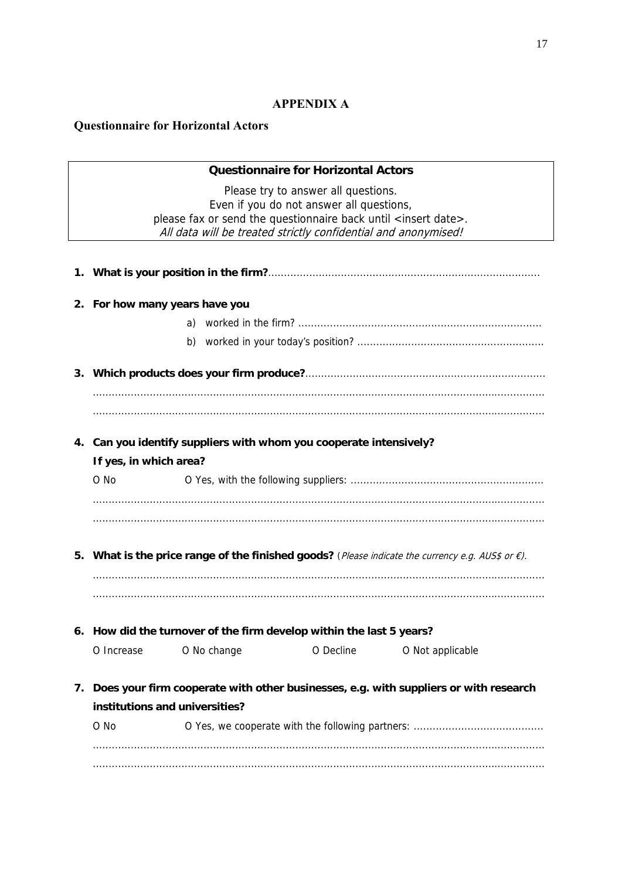### **APPENDIX A**

### **Questionnaire for Horizontal Actors**

### **Questionnaire for Horizontal Actors**

Please try to answer all questions. Even if you do not answer all questions, please fax or send the questionnaire back until <insert date>. All data will be treated strictly confidential and anonymised!

| 2. For how many years have you |                                                                      |           |                                                                                                             |  |  |  |
|--------------------------------|----------------------------------------------------------------------|-----------|-------------------------------------------------------------------------------------------------------------|--|--|--|
|                                | a)                                                                   |           |                                                                                                             |  |  |  |
|                                |                                                                      |           |                                                                                                             |  |  |  |
|                                |                                                                      |           |                                                                                                             |  |  |  |
|                                |                                                                      |           |                                                                                                             |  |  |  |
|                                |                                                                      |           |                                                                                                             |  |  |  |
|                                | 4. Can you identify suppliers with whom you cooperate intensively?   |           |                                                                                                             |  |  |  |
| If yes, in which area?         |                                                                      |           |                                                                                                             |  |  |  |
| O No                           |                                                                      |           |                                                                                                             |  |  |  |
|                                |                                                                      |           |                                                                                                             |  |  |  |
|                                |                                                                      |           |                                                                                                             |  |  |  |
|                                |                                                                      |           | 5. What is the price range of the finished goods? (Please indicate the currency e.g. AUS\$ or $\epsilon$ ). |  |  |  |
|                                |                                                                      |           |                                                                                                             |  |  |  |
|                                |                                                                      |           |                                                                                                             |  |  |  |
|                                | 6. How did the turnover of the firm develop within the last 5 years? |           |                                                                                                             |  |  |  |
| O Increase                     | O No change                                                          | O Decline | O Not applicable                                                                                            |  |  |  |
|                                |                                                                      |           |                                                                                                             |  |  |  |
|                                |                                                                      |           | 7. Does your firm cooperate with other businesses, e.g. with suppliers or with research                     |  |  |  |
| institutions and universities? |                                                                      |           |                                                                                                             |  |  |  |
| O No                           |                                                                      |           |                                                                                                             |  |  |  |
|                                |                                                                      |           |                                                                                                             |  |  |  |
|                                |                                                                      |           |                                                                                                             |  |  |  |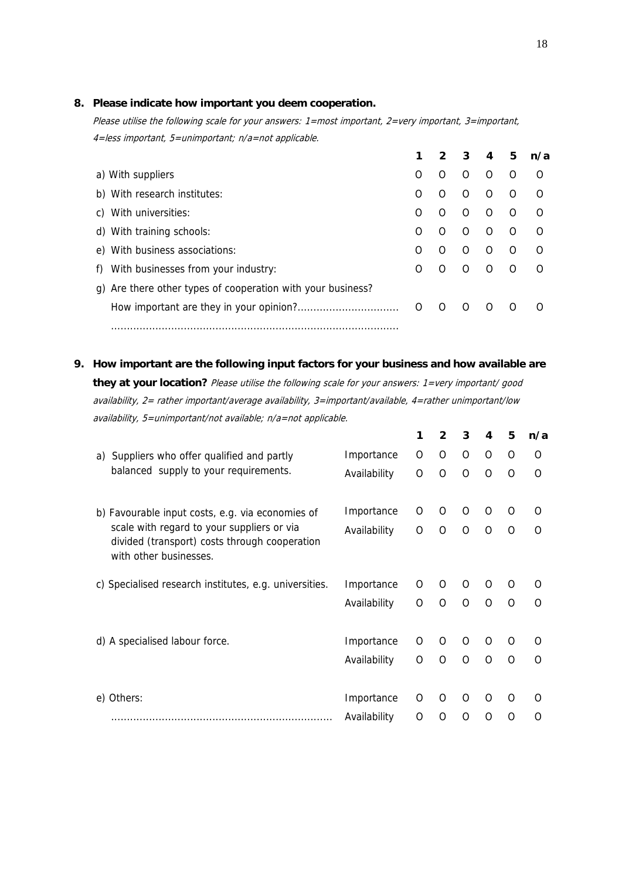### **8. Please indicate how important you deem cooperation.**

Please utilise the following scale for your answers: 1=most important, 2=very important, 3=important, 4=less important, 5=unimportant; n/a=not applicable.

|                                                             | 1  |          | 3        | 4        | 5        | n/a |
|-------------------------------------------------------------|----|----------|----------|----------|----------|-----|
| a) With suppliers                                           | O  | O        | O        | $\Omega$ | ∩        | O   |
| b) With research institutes:                                | O  | O        | $\Omega$ | $\Omega$ | ∩        | O   |
| c) With universities:                                       | ∩  | O        | O        | $\Omega$ | $\Omega$ | ∩   |
| d) With training schools:                                   | O  | O        | O        | $\Omega$ | ∩        | O   |
| e) With business associations:                              | O  | O        | O        | $\Omega$ | O        | ∩   |
| f) With businesses from your industry:                      | O  | O        | O        | O        | ∩        | O   |
| g) Are there other types of cooperation with your business? |    |          |          |          |          |     |
|                                                             | O. | $\Omega$ | $\Omega$ | $\Omega$ | O        |     |
|                                                             |    |          |          |          |          |     |

**9. How important are the following input factors for your business and how available are they at your location?** Please utilise the following scale for your answers: 1=very important/ good availability, 2= rather important/average availability, 3=important/available, 4=rather unimportant/low availability, 5=unimportant/not available; n/a=not applicable.

|                                                                                                                       |              | 1 | $\mathbf{2}$ | 3        | 4 | 5        | n/a      |
|-----------------------------------------------------------------------------------------------------------------------|--------------|---|--------------|----------|---|----------|----------|
| Suppliers who offer qualified and partly<br>a)                                                                        | Importance   | O | 0            | O        | 0 | 0        | 0        |
| balanced supply to your requirements.                                                                                 | Availability | O | O            | O        | O | $\Omega$ | O        |
| b) Favourable input costs, e.g. via economies of                                                                      | Importance   | O | 0            | O        | O | O        | Ω        |
| scale with regard to your suppliers or via<br>divided (transport) costs through cooperation<br>with other businesses. | Availability | O | $\Omega$     | $\Omega$ | O | Ω        | O        |
| c) Specialised research institutes, e.g. universities.                                                                | Importance   | O | O            | O        | O | Ω        | O        |
|                                                                                                                       | Availability | O | $\Omega$     | $\Omega$ | O | $\Omega$ | $\Omega$ |
| d) A specialised labour force.                                                                                        | Importance   | 0 | 0            | O        | O | $\Omega$ | O        |
|                                                                                                                       | Availability | O | O            | $\Omega$ | Ω | $\Omega$ | O        |
| e) Others:                                                                                                            | Importance   | 0 | 0            | $\Omega$ | O | Ω        | O        |
|                                                                                                                       | Availability | O | Ω            | $\Omega$ | O | O        | Ω        |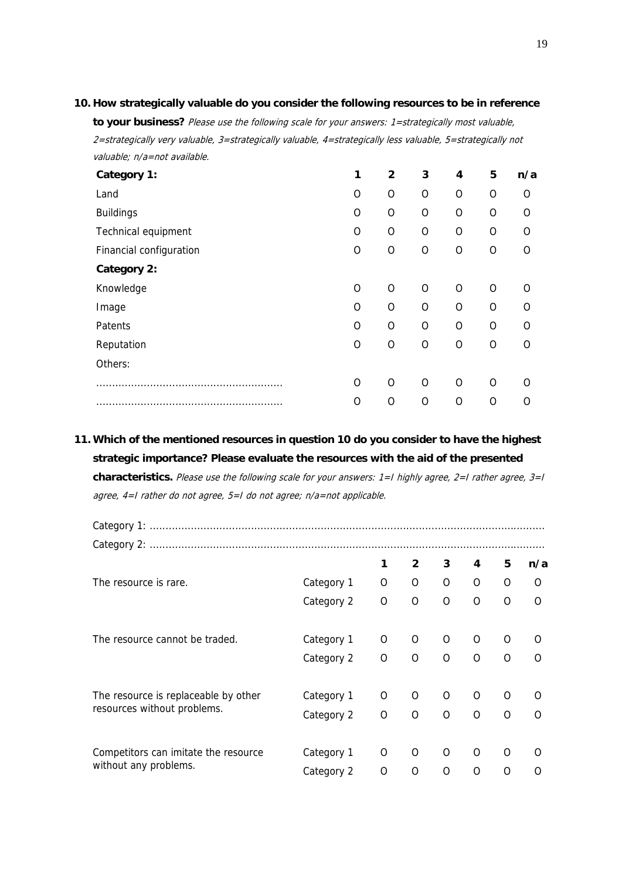#### **10. How strategically valuable do you consider the following resources to be in reference**

**to your business?** Please use the following scale for your answers: 1=strategically most valuable, 2=strategically very valuable, 3=strategically valuable, 4=strategically less valuable, 5=strategically not valuable; n/a=not available.

| Category 1:             | 1              | $\mathbf{2}$ | 3        | 4              | 5        | n/a |
|-------------------------|----------------|--------------|----------|----------------|----------|-----|
| Land                    | O              | 0            | O        | $\overline{O}$ | $\Omega$ | O   |
| <b>Buildings</b>        | O              | O            | O        | $\Omega$       | $\Omega$ | Ω   |
| Technical equipment     | O              | O            | O        | $\overline{O}$ | $\Omega$ | O   |
| Financial configuration | O              | O            | O        | O              | O        | O   |
| Category 2:             |                |              |          |                |          |     |
| Knowledge               | $\overline{O}$ | O            | $\Omega$ | $\overline{O}$ | $\Omega$ | Ω   |
| Image                   | O              | 0            | $\Omega$ | $\Omega$       | $\Omega$ | Ω   |
| Patents                 | O              | O            | $\Omega$ | $\Omega$       | $\Omega$ | O   |
| Reputation              | $\overline{O}$ | O            | $\Omega$ | $\circ$        | $\Omega$ | O   |
| Others:                 |                |              |          |                |          |     |
|                         | O              | O            | $\Omega$ | $\Omega$       | O        | O   |
|                         | O              | O            | O        | O              | O        | Ω   |

**11. Which of the mentioned resources in question 10 do you consider to have the highest strategic importance? Please evaluate the resources with the aid of the presented characteristics.** Please use the following scale for your answers: 1=I highly agree, 2=I rather agree, 3=I agree, 4=I rather do not agree, 5=I do not agree; n/a=not applicable.

|                                      |            | 1        | $\overline{2}$ | 3        | 4        | 5        | n/a      |
|--------------------------------------|------------|----------|----------------|----------|----------|----------|----------|
| The resource is rare.                | Category 1 | 0        | 0              | 0        | O        | 0        | 0        |
|                                      | Category 2 | O        | $\Omega$       | $\Omega$ | $\Omega$ | $\Omega$ | $\Omega$ |
| The resource cannot be traded.       | Category 1 | 0        | 0              | O        | O        | O        | O        |
|                                      | Category 2 | O        | $\Omega$       | O        | $\Omega$ | O        | ∩        |
| The resource is replaceable by other | Category 1 | 0        | O              | O        | O        | O        | O        |
| resources without problems.          | Category 2 | $\Omega$ | $\Omega$       | $\Omega$ | $\Omega$ | $\Omega$ | $\Omega$ |
| Competitors can imitate the resource | Category 1 | 0        | O              | O        | O        | O        | O        |
| without any problems.                | Category 2 | O        | O              | O        | O        | O        | O        |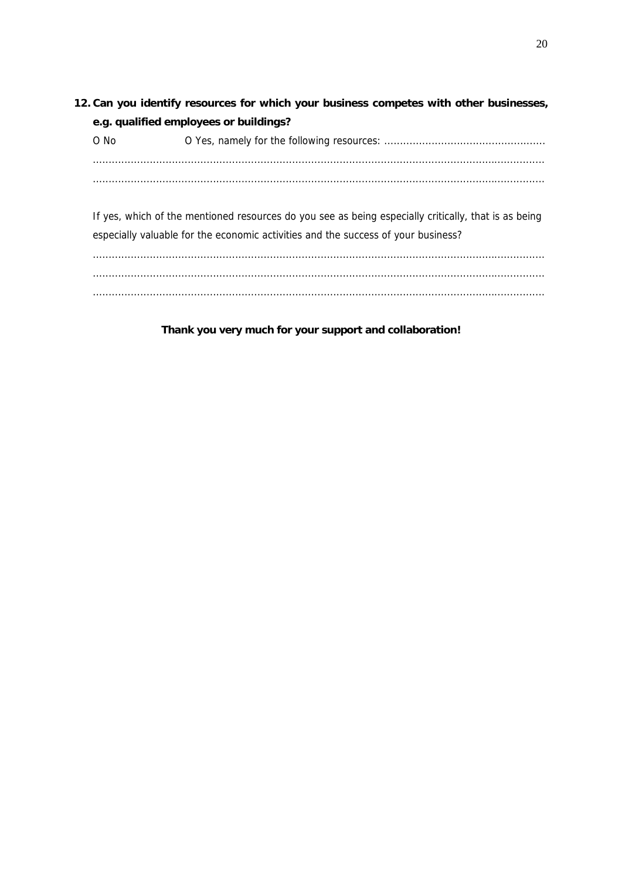**12. Can you identify resources for which your business competes with other businesses, e.g. qualified employees or buildings?**  O No O Yes, namely for the following resources: ................................................... ............................................................................................................................................... ...............................................................................................................................................

If yes, which of the mentioned resources do you see as being especially critically, that is as being especially valuable for the economic activities and the success of your business?

............................................................................................................................................... ............................................................................................................................................... ...............................................................................................................................................

**Thank you very much for your support and collaboration!**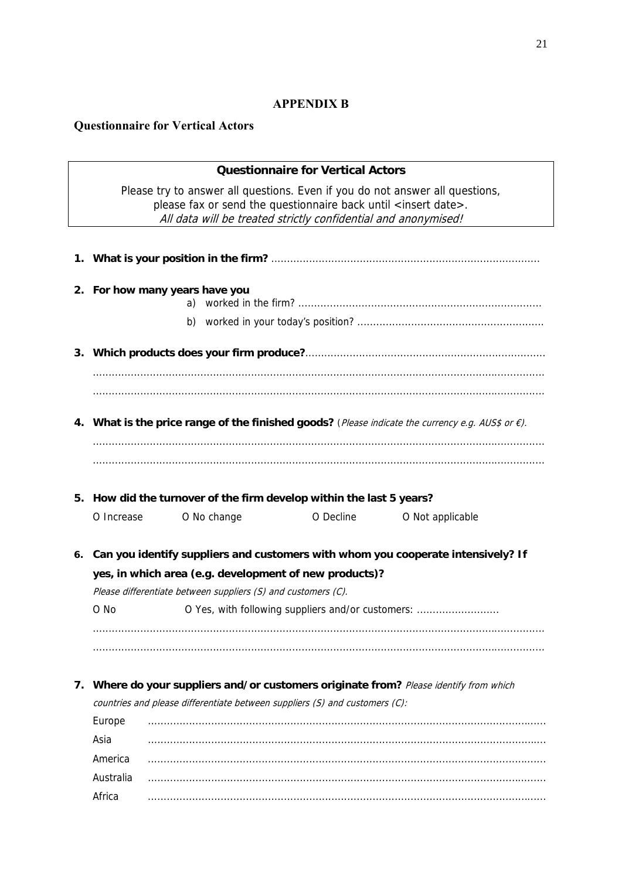### 21

### **APPENDIX B**

# **Questionnaire for Vertical Actors**

|    |                                |                                                               | <b>Questionnaire for Vertical Actors</b>                                                                                                      |                                                                                                             |
|----|--------------------------------|---------------------------------------------------------------|-----------------------------------------------------------------------------------------------------------------------------------------------|-------------------------------------------------------------------------------------------------------------|
|    |                                |                                                               | please fax or send the questionnaire back until <insert date="">.<br/>All data will be treated strictly confidential and anonymised!</insert> | Please try to answer all questions. Even if you do not answer all questions,                                |
|    |                                |                                                               |                                                                                                                                               |                                                                                                             |
|    | 2. For how many years have you | a)                                                            |                                                                                                                                               |                                                                                                             |
|    |                                |                                                               |                                                                                                                                               |                                                                                                             |
|    |                                |                                                               |                                                                                                                                               |                                                                                                             |
|    |                                |                                                               |                                                                                                                                               |                                                                                                             |
|    |                                |                                                               |                                                                                                                                               |                                                                                                             |
|    |                                |                                                               |                                                                                                                                               | 4. What is the price range of the finished goods? (Please indicate the currency e.g. AUS\$ or $\epsilon$ ). |
|    |                                |                                                               |                                                                                                                                               |                                                                                                             |
|    |                                |                                                               |                                                                                                                                               |                                                                                                             |
|    |                                |                                                               |                                                                                                                                               |                                                                                                             |
|    |                                |                                                               | 5. How did the turnover of the firm develop within the last 5 years?                                                                          |                                                                                                             |
|    | O Increase                     | O No change                                                   | O Decline                                                                                                                                     | O Not applicable                                                                                            |
| 6. |                                |                                                               |                                                                                                                                               | Can you identify suppliers and customers with whom you cooperate intensively? If                            |
|    |                                |                                                               | yes, in which area (e.g. development of new products)?                                                                                        |                                                                                                             |
|    |                                | Please differentiate between suppliers (S) and customers (C). |                                                                                                                                               |                                                                                                             |
|    | O No                           |                                                               |                                                                                                                                               | O Yes, with following suppliers and/or customers:                                                           |
|    |                                |                                                               |                                                                                                                                               |                                                                                                             |
|    |                                |                                                               |                                                                                                                                               |                                                                                                             |
|    |                                |                                                               |                                                                                                                                               |                                                                                                             |
| 7. |                                |                                                               | countries and please differentiate between suppliers (S) and customers (C):                                                                   | Where do your suppliers and/or customers originate from? Please identify from which                         |
|    | Europe                         |                                                               |                                                                                                                                               |                                                                                                             |
|    | Asia                           |                                                               |                                                                                                                                               |                                                                                                             |
|    | America                        |                                                               |                                                                                                                                               |                                                                                                             |
|    | Australia                      |                                                               |                                                                                                                                               |                                                                                                             |
|    | Africa                         |                                                               |                                                                                                                                               |                                                                                                             |
|    |                                |                                                               |                                                                                                                                               |                                                                                                             |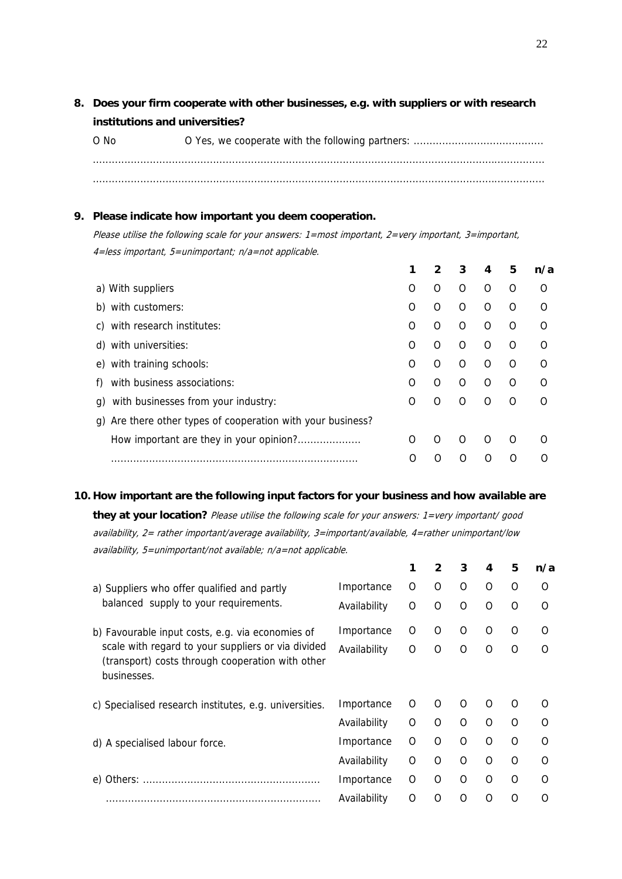**8. Does your firm cooperate with other businesses, e.g. with suppliers or with research institutions and universities?** 

O No O Yes, we cooperate with the following partners: ......................................... ............................................................................................................................................... ...............................................................................................................................................

### **9. Please indicate how important you deem cooperation.**

Please utilise the following scale for your answers: 1=most important, 2=very important, 3=important, 4=less important, 5=unimportant; n/a=not applicable.

|                                                                |   |          | 3 | 4 | 5 | n/a |
|----------------------------------------------------------------|---|----------|---|---|---|-----|
| a) With suppliers                                              | O | ∩        | O | O | O | O   |
| with customers:<br>b)                                          | O | O        | O | O | ∩ | O   |
| with research institutes:<br>C)                                | ∩ | O        | O | O | O | O   |
| with universities:<br>d)                                       | O | O        | O | O | O | O   |
| with training schools:<br>e)                                   | O | $\Omega$ | O | O | O | O   |
| with business associations:                                    | O | ∩        | O | ∩ | O | O   |
| with businesses from your industry:<br>q)                      | O | $\Omega$ | O | O | O | O   |
| Are there other types of cooperation with your business?<br>q) |   |          |   |   |   |     |
| How important are they in your opinion?                        | O | ∩        | O | Ω | ∩ | O   |
|                                                                | O |          |   |   |   |     |
|                                                                |   |          |   |   |   |     |

#### **10. How important are the following input factors for your business and how available are**

**they at your location?** Please utilise the following scale for your answers: 1=very important/ good availability, 2= rather important/average availability, 3=important/available, 4=rather unimportant/low availability, 5=unimportant/not available; n/a=not applicable.

|                                                                                                                       |              | 1 | 2        | 3        | 4        | 5        | n/a      |
|-----------------------------------------------------------------------------------------------------------------------|--------------|---|----------|----------|----------|----------|----------|
| a) Suppliers who offer qualified and partly                                                                           | Importance   | 0 | 0        | O        | O        | O        | O        |
| balanced supply to your requirements.                                                                                 | Availability | O | 0        | O        | $\Omega$ | O        | O        |
| b) Favourable input costs, e.g. via economies of                                                                      | Importance   | O | 0        | O        | $\Omega$ | $\Omega$ | ∩        |
| scale with regard to your suppliers or via divided<br>(transport) costs through cooperation with other<br>businesses. | Availability | O | Ω        | $\Omega$ | $\Omega$ | $\Omega$ | ∩        |
| c) Specialised research institutes, e.g. universities.                                                                | Importance   | O | $\Omega$ | $\Omega$ | $\Omega$ | O        | O        |
|                                                                                                                       | Availability | 0 | O        | O        | $\Omega$ | $\Omega$ | $\Omega$ |
| d) A specialised labour force.                                                                                        | Importance   | O | Ω        | O        | $\Omega$ | $\Omega$ | O        |
|                                                                                                                       | Availability | O | O        | $\Omega$ | $\Omega$ | $\Omega$ | $\Omega$ |
|                                                                                                                       | Importance   | O | O        | O        | $\Omega$ | $\Omega$ | $\Omega$ |
|                                                                                                                       | Availability | O | Ω        | $\Omega$ | $\Omega$ | Ω        | $\Omega$ |
|                                                                                                                       |              |   |          |          |          |          |          |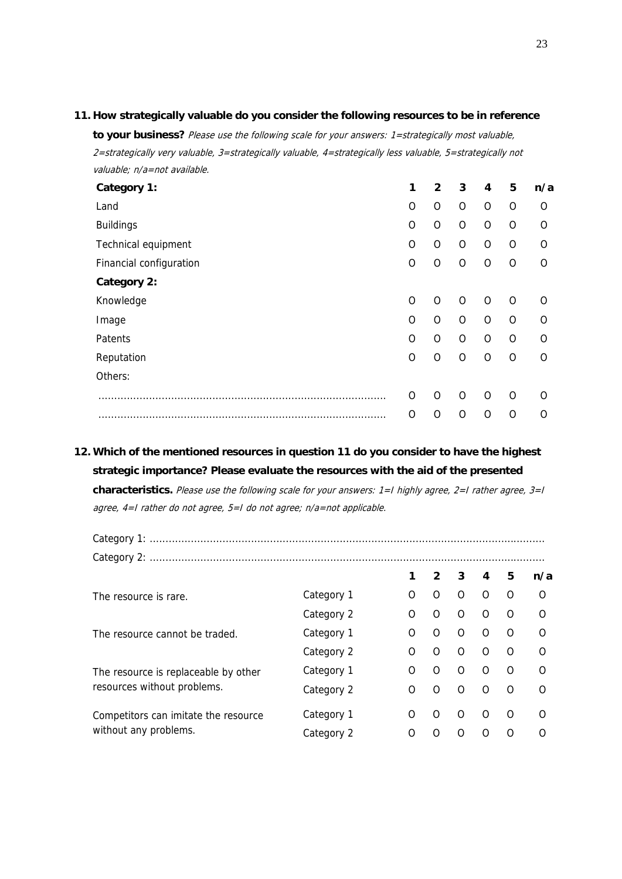### **11. How strategically valuable do you consider the following resources to be in reference**

**to your business?** Please use the following scale for your answers: 1=strategically most valuable, 2=strategically very valuable, 3=strategically valuable, 4=strategically less valuable, 5=strategically not valuable; n/a=not available.

| 1        | 2        | 3        | 4 | 5        | n/a      |
|----------|----------|----------|---|----------|----------|
| O        | O        | O        | O | O        | O        |
| O        | O        | O        | O | O        | 0        |
| O        | O        | O        | O | O        | $\Omega$ |
| O        | O        | 0        | O | O        | O        |
|          |          |          |   |          |          |
| $\Omega$ | $\Omega$ | O        | O | $\Omega$ | $\Omega$ |
| O        | O        | O        | O | O        | $\Omega$ |
| O        | $\Omega$ | O        | O | O        | $\Omega$ |
| $\Omega$ | $\Omega$ | $\Omega$ | O | O        | $\Omega$ |
|          |          |          |   |          |          |
| O        | O        | O        | O | O        | $\Omega$ |
| O        | O        | Ω        | O | O        | $\Omega$ |
|          |          |          |   |          |          |

### **12. Which of the mentioned resources in question 11 do you consider to have the highest strategic importance? Please evaluate the resources with the aid of the presented**

**characteristics.** Please use the following scale for your answers: 1=I highly agree, 2=I rather agree, 3=I agree, 4=I rather do not agree, 5=I do not agree; n/a=not applicable.

Category 1: ............................................................................................................................. Category 2: .............................................................................................................................

|                                      |            |   |          | 3        | 4        | 5        | n/a      |
|--------------------------------------|------------|---|----------|----------|----------|----------|----------|
| The resource is rare.                | Category 1 | O | O        | $\Omega$ | O        | O        | $\Omega$ |
|                                      | Category 2 | Ω | $\Omega$ | $\Omega$ | $\Omega$ | $\Omega$ | $\Omega$ |
| The resource cannot be traded.       | Category 1 | O | O        | O        | O        | O        | O        |
|                                      | Category 2 | O | O        | O        | O        | O        | $\Omega$ |
| The resource is replaceable by other | Category 1 | O | O        | $\Omega$ | O        | O        | ∩        |
| resources without problems.          | Category 2 | O | O        | O        | O        | O        | O        |
| Competitors can imitate the resource | Category 1 | Ω | O        | O        | ∩        | ∩        | O        |
| without any problems.                | Category 2 | O | Ω        | Ω        | Ω        | O        | O        |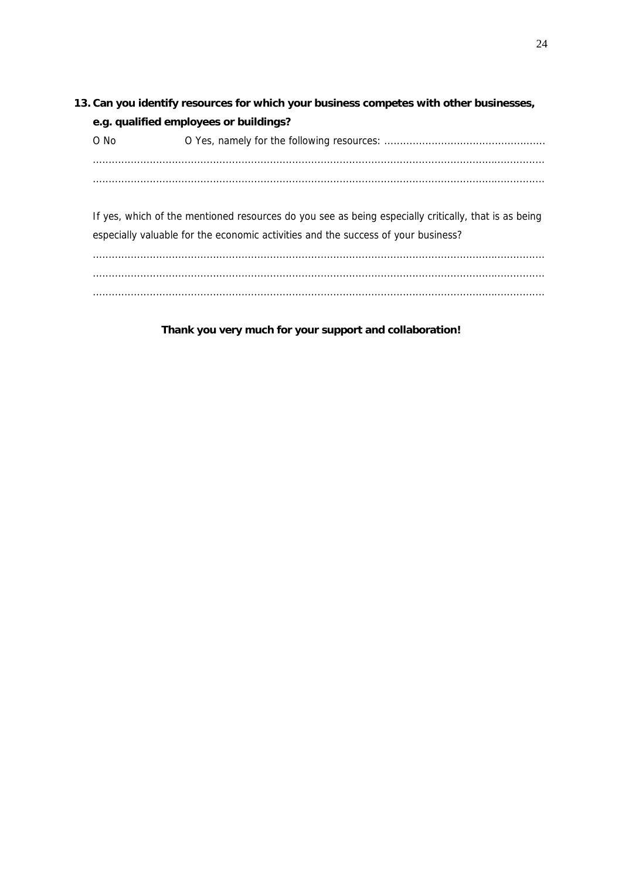# **13. Can you identify resources for which your business competes with other businesses, e.g. qualified employees or buildings?**  O No O Yes, namely for the following resources: ................................................... ............................................................................................................................................... ...............................................................................................................................................

If yes, which of the mentioned resources do you see as being especially critically, that is as being especially valuable for the economic activities and the success of your business?

............................................................................................................................................... ............................................................................................................................................... ...............................................................................................................................................

**Thank you very much for your support and collaboration!**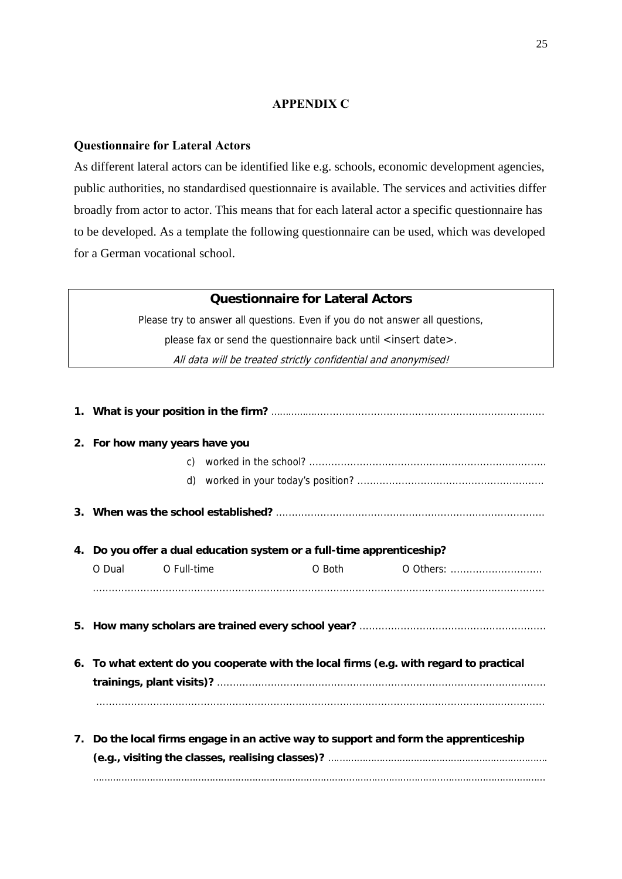### **APPENDIX C**

### **Questionnaire for Lateral Actors**

As different lateral actors can be identified like e.g. schools, economic development agencies, public authorities, no standardised questionnaire is available. The services and activities differ broadly from actor to actor. This means that for each lateral actor a specific questionnaire has to be developed. As a template the following questionnaire can be used, which was developed for a German vocational school.

### **Questionnaire for Lateral Actors**

Please try to answer all questions. Even if you do not answer all questions, please fax or send the questionnaire back until <insert date>. All data will be treated strictly confidential and anonymised!

| 2. For how many years have you                                                         |             |  |                                                                                                                                                                                                                                      |                                                                                      |  |  |  |  |
|----------------------------------------------------------------------------------------|-------------|--|--------------------------------------------------------------------------------------------------------------------------------------------------------------------------------------------------------------------------------------|--------------------------------------------------------------------------------------|--|--|--|--|
|                                                                                        |             |  |                                                                                                                                                                                                                                      |                                                                                      |  |  |  |  |
|                                                                                        |             |  |                                                                                                                                                                                                                                      |                                                                                      |  |  |  |  |
|                                                                                        |             |  |                                                                                                                                                                                                                                      |                                                                                      |  |  |  |  |
|                                                                                        |             |  | 4. Do you offer a dual education system or a full-time apprenticeship?                                                                                                                                                               |                                                                                      |  |  |  |  |
| O Dual                                                                                 | O Full-time |  | O Both <b>Communist Communist Communist Communist Communist Communist Communist Communist Communist Communist Communist Communist Communist Communist Communist Communist Communist Communist Communist Communist Communist Comm</b> | 0 Others:                                                                            |  |  |  |  |
|                                                                                        |             |  |                                                                                                                                                                                                                                      |                                                                                      |  |  |  |  |
|                                                                                        |             |  |                                                                                                                                                                                                                                      |                                                                                      |  |  |  |  |
| 6. To what extent do you cooperate with the local firms (e.g. with regard to practical |             |  |                                                                                                                                                                                                                                      |                                                                                      |  |  |  |  |
|                                                                                        |             |  |                                                                                                                                                                                                                                      | 7. Do the local firms engage in an active way to support and form the apprenticeship |  |  |  |  |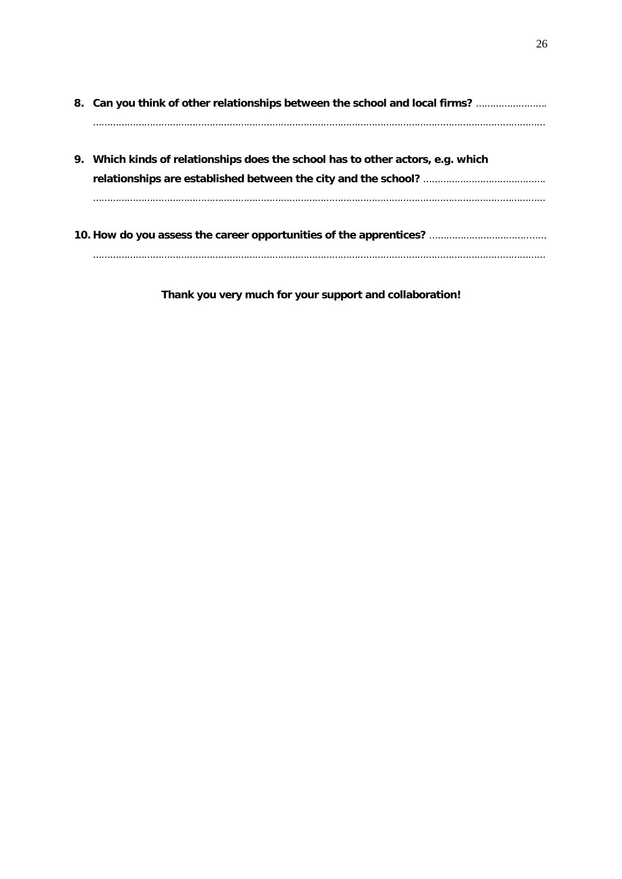|    | 8. Can you think of other relationships between the school and local firms?  |
|----|------------------------------------------------------------------------------|
| 9. | Which kinds of relationships does the school has to other actors, e.g. which |
|    |                                                                              |

**Thank you very much for your support and collaboration!**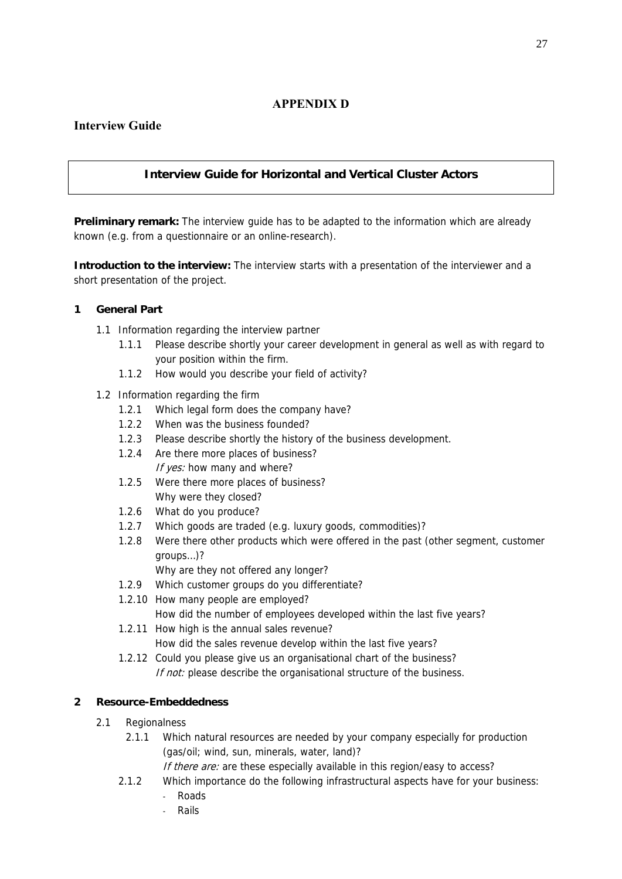### **APPENDIX D**

### **Interview Guide**

### **Interview Guide for Horizontal and Vertical Cluster Actors**

**Preliminary remark:** The interview guide has to be adapted to the information which are already known (e.g. from a questionnaire or an online-research).

**Introduction to the interview:** The interview starts with a presentation of the interviewer and a short presentation of the project.

### **1 General Part**

- 1.1 Information regarding the interview partner
	- 1.1.1 Please describe shortly your career development in general as well as with regard to your position within the firm.
	- 1.1.2 How would you describe your field of activity?

#### 1.2 Information regarding the firm

- 1.2.1 Which legal form does the company have?
- 1.2.2 When was the business founded?
- 1.2.3 Please describe shortly the history of the business development.
- 1.2.4 Are there more places of business? If yes: how many and where?
- 1.2.5 Were there more places of business? Why were they closed?
- 1.2.6 What do you produce?
- 1.2.7 Which goods are traded (e.g. luxury goods, commodities)?
- 1.2.8 Were there other products which were offered in the past (other segment, customer groups…)?
	- Why are they not offered any longer?
- 1.2.9 Which customer groups do you differentiate?
- 1.2.10 How many people are employed? How did the number of employees developed within the last five years?
- 1.2.11 How high is the annual sales revenue?
	- How did the sales revenue develop within the last five years?
- 1.2.12 Could you please give us an organisational chart of the business? If not: please describe the organisational structure of the business.

### **2 Resource-Embeddedness**

- 2.1 Regionalness
	- 2.1.1 Which natural resources are needed by your company especially for production (gas/oil; wind, sun, minerals, water, land)?
		- If there are: are these especially available in this region/easy to access?
	- 2.1.2 Which importance do the following infrastructural aspects have for your business:
		- Roads
		- **Rails**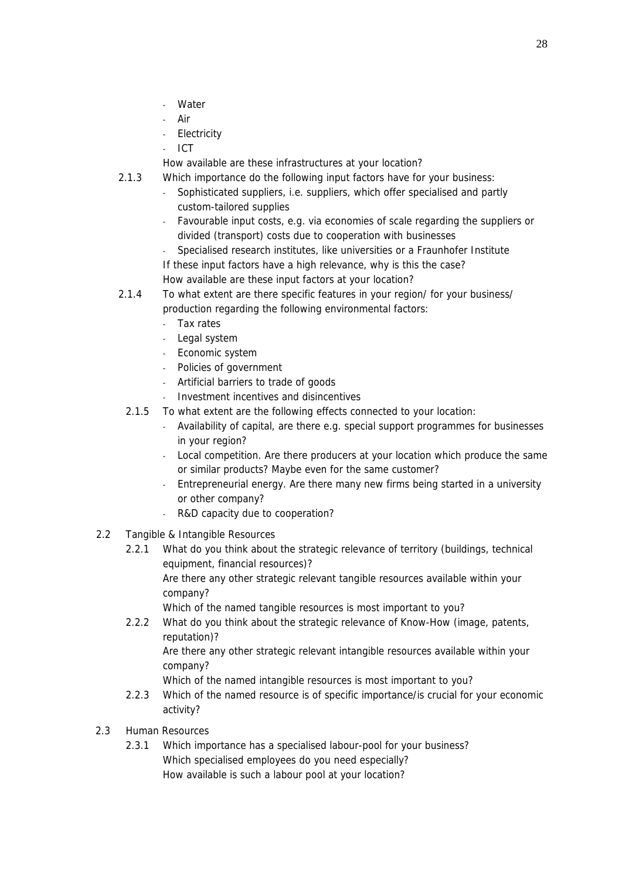- Water
- Air
- Electricity
- ICT
- How available are these infrastructures at your location?
- 2.1.3 Which importance do the following input factors have for your business:
	- Sophisticated suppliers, i.e. suppliers, which offer specialised and partly custom-tailored supplies
	- Favourable input costs, e.g. via economies of scale regarding the suppliers or divided (transport) costs due to cooperation with businesses
	- Specialised research institutes, like universities or a Fraunhofer Institute If these input factors have a high relevance, why is this the case?
	- How available are these input factors at your location?
- 2.1.4 To what extent are there specific features in your region/ for your business/ production regarding the following environmental factors:
	- Tax rates
	- Legal system
	- Economic system
	- Policies of government
	- Artificial barriers to trade of goods
	- Investment incentives and disincentives
	- 2.1.5 To what extent are the following effects connected to your location:
		- Availability of capital, are there e.g. special support programmes for businesses in your region?
		- Local competition. Are there producers at your location which produce the same or similar products? Maybe even for the same customer?
		- Entrepreneurial energy. Are there many new firms being started in a university or other company?
		- R&D capacity due to cooperation?
- 2.2 Tangible & Intangible Resources
	- 2.2.1 What do you think about the strategic relevance of territory (buildings, technical equipment, financial resources)?

 Are there any other strategic relevant tangible resources available within your company?

Which of the named tangible resources is most important to you?

2.2.2 What do you think about the strategic relevance of Know-How (image, patents, reputation)?

 Are there any other strategic relevant intangible resources available within your company?

Which of the named intangible resources is most important to you?

- 2.2.3 Which of the named resource is of specific importance/is crucial for your economic activity?
- 2.3 Human Resources
	- 2.3.1 Which importance has a specialised labour-pool for your business? Which specialised employees do you need especially? How available is such a labour pool at your location?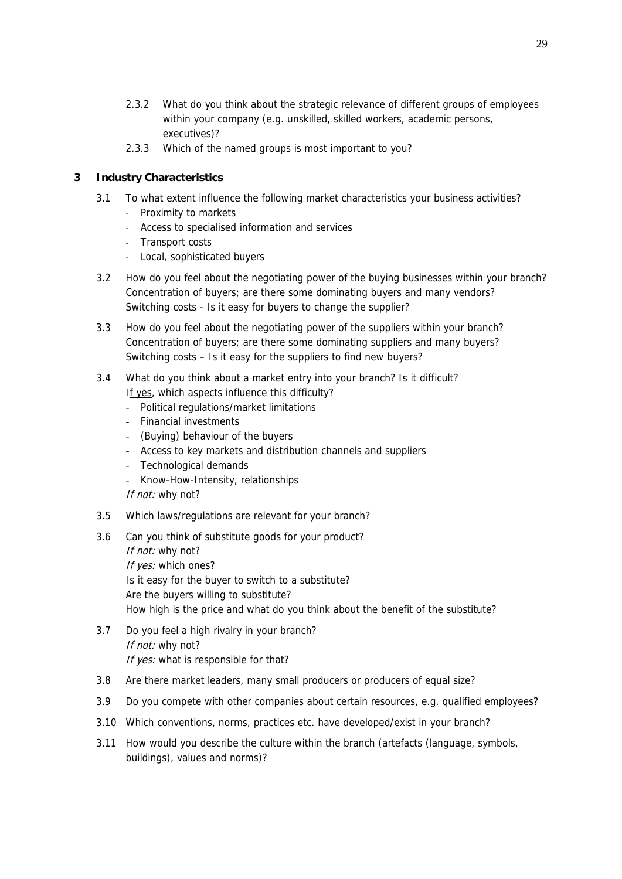- 2.3.2 What do you think about the strategic relevance of different groups of employees within your company (e.g. unskilled, skilled workers, academic persons, executives)?
- 2.3.3 Which of the named groups is most important to you?

### **3 Industry Characteristics**

- 3.1 To what extent influence the following market characteristics your business activities? - Proximity to markets
	- Access to specialised information and services
	- Transport costs
	- Local, sophisticated buyers
- 3.2 How do you feel about the negotiating power of the buying businesses within your branch? Concentration of buyers; are there some dominating buyers and many vendors? Switching costs - Is it easy for buyers to change the supplier?
- 3.3 How do you feel about the negotiating power of the suppliers within your branch? Concentration of buyers; are there some dominating suppliers and many buyers? Switching costs – Is it easy for the suppliers to find new buyers?
- 3.4 What do you think about a market entry into your branch? Is it difficult? If yes, which aspects influence this difficulty?
	- Political regulations/market limitations
	- Financial investments
	- (Buying) behaviour of the buyers
	- Access to key markets and distribution channels and suppliers
	- Technological demands
	- Know-How-Intensity, relationships
	- If not: why not?
- 3.5 Which laws/regulations are relevant for your branch?
- 3.6 Can you think of substitute goods for your product?

If not: why not? If yes: which ones? Is it easy for the buyer to switch to a substitute? Are the buyers willing to substitute? How high is the price and what do you think about the benefit of the substitute?

- 3.7 Do you feel a high rivalry in your branch? If not: why not? If yes: what is responsible for that?
- 3.8 Are there market leaders, many small producers or producers of equal size?
- 3.9 Do you compete with other companies about certain resources, e.g. qualified employees?
- 3.10 Which conventions, norms, practices etc. have developed/exist in your branch?
- 3.11 How would you describe the culture within the branch (artefacts (language, symbols, buildings), values and norms)?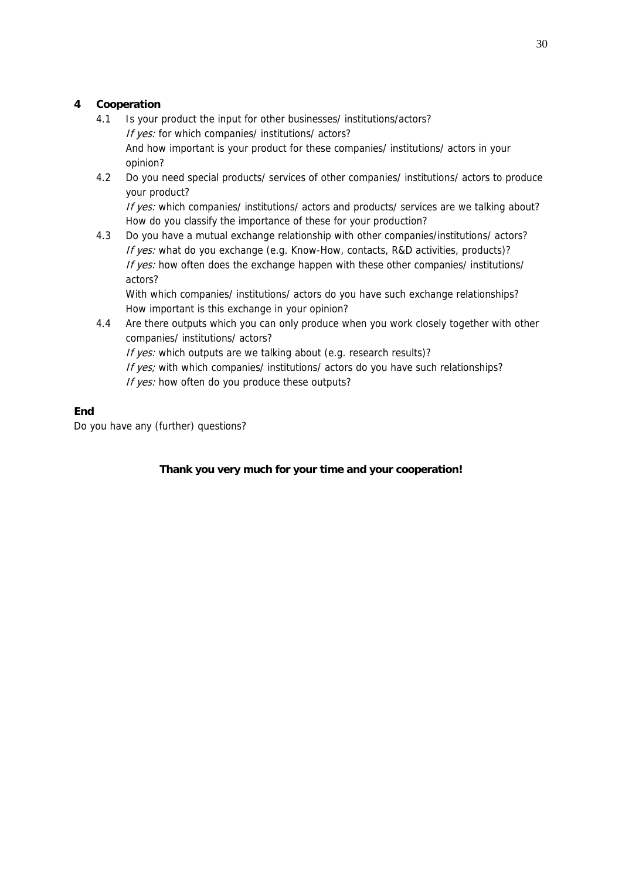### **4 Cooperation**

- 4.1 Is your product the input for other businesses/ institutions/actors? If yes: for which companies/ institutions/ actors? And how important is your product for these companies/ institutions/ actors in your opinion?
- 4.2 Do you need special products/ services of other companies/ institutions/ actors to produce your product?

If yes: which companies/ institutions/ actors and products/ services are we talking about? How do you classify the importance of these for your production?

4.3 Do you have a mutual exchange relationship with other companies/institutions/ actors? If yes: what do you exchange (e.g. Know-How, contacts, R&D activities, products)? If yes: how often does the exchange happen with these other companies/ institutions/ actors?

 With which companies/ institutions/ actors do you have such exchange relationships? How important is this exchange in your opinion?

4.4 Are there outputs which you can only produce when you work closely together with other companies/ institutions/ actors? If yes: which outputs are we talking about (e.g. research results)? If yes; with which companies/ institutions/ actors do you have such relationships? If yes: how often do you produce these outputs?

### **End**

Do you have any (further) questions?

**Thank you very much for your time and your cooperation!**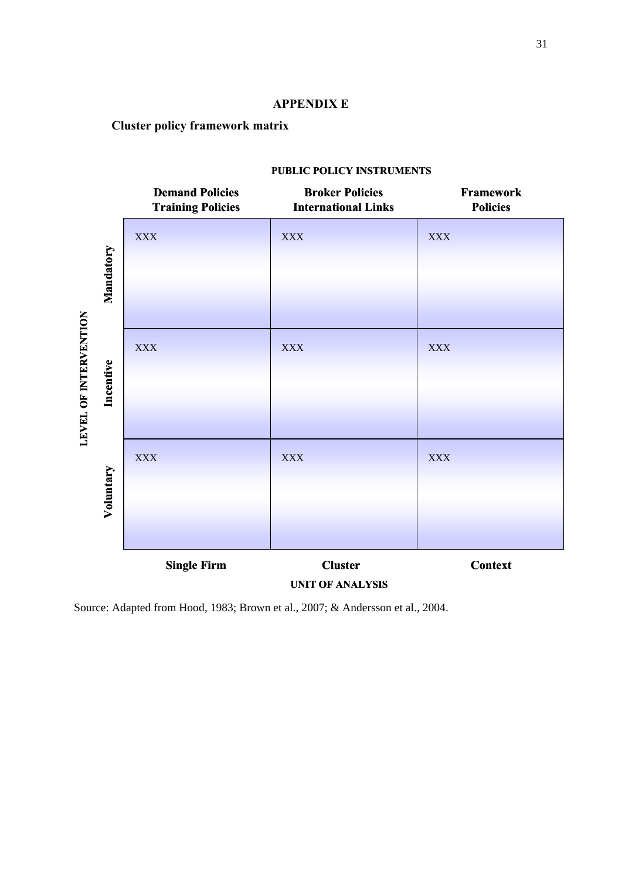### **APPENDIX E**

# **Cluster policy framework matrix**

|                                    | <b>Demand Policies</b><br><b>Training Policies</b> | <b>Broker Policies</b><br><b>International Links</b> | Framework<br><b>Policies</b> |
|------------------------------------|----------------------------------------------------|------------------------------------------------------|------------------------------|
| Mandatory                          | <b>XXX</b>                                         | <b>XXX</b>                                           | <b>XXX</b>                   |
| LEVEL OF INTERVENTION<br>Incentive | <b>XXX</b>                                         | <b>XXX</b>                                           | <b>XXX</b>                   |
| Voluntary                          | <b>XXX</b>                                         | <b>XXX</b>                                           | <b>XXX</b>                   |
|                                    | <b>Single Firm</b>                                 | <b>Cluster</b><br><b>UNIT OF ANALYSIS</b>            | <b>Context</b>               |

### **PUBLIC POLICY INSTRUMENTS**

Source: Adapted from Hood, 1983; Brown et al., 2007; & Andersson et al., 2004.